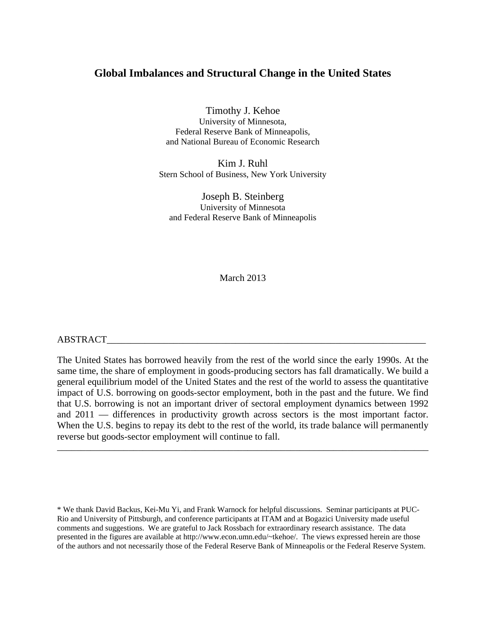## **Global Imbalances and Structural Change in the United States**

Timothy J. Kehoe University of Minnesota, Federal Reserve Bank of Minneapolis, and National Bureau of Economic Research

Kim J. Ruhl Stern School of Business, New York University

Joseph B. Steinberg University of Minnesota and Federal Reserve Bank of Minneapolis

March 2013

#### ABSTRACT\_\_\_\_\_\_\_\_\_\_\_\_\_\_\_\_\_\_\_\_\_\_\_\_\_\_\_\_\_\_\_\_\_\_\_\_\_\_\_\_\_\_\_\_\_\_\_\_\_\_\_\_\_\_\_\_\_\_\_\_\_\_\_\_\_\_\_

The United States has borrowed heavily from the rest of the world since the early 1990s. At the same time, the share of employment in goods-producing sectors has fall dramatically. We build a general equilibrium model of the United States and the rest of the world to assess the quantitative impact of U.S. borrowing on goods-sector employment, both in the past and the future. We find that U.S. borrowing is not an important driver of sectoral employment dynamics between 1992 and 2011 — differences in productivity growth across sectors is the most important factor. When the U.S. begins to repay its debt to the rest of the world, its trade balance will permanently reverse but goods-sector employment will continue to fall.

\_\_\_\_\_\_\_\_\_\_\_\_\_\_\_\_\_\_\_\_\_\_\_\_\_\_\_\_\_\_\_\_\_\_\_\_\_\_\_\_\_\_\_\_\_\_\_\_\_\_\_\_\_\_\_\_\_\_\_\_\_\_\_\_\_\_\_\_\_\_\_\_\_\_\_\_\_\_

<sup>\*</sup> We thank David Backus, Kei-Mu Yi, and Frank Warnock for helpful discussions. Seminar participants at PUC-Rio and University of Pittsburgh, and conference participants at ITAM and at Bogazici University made useful comments and suggestions. We are grateful to Jack Rossbach for extraordinary research assistance. The data presented in the figures are available at http://www.econ.umn.edu/~tkehoe/. The views expressed herein are those of the authors and not necessarily those of the Federal Reserve Bank of Minneapolis or the Federal Reserve System.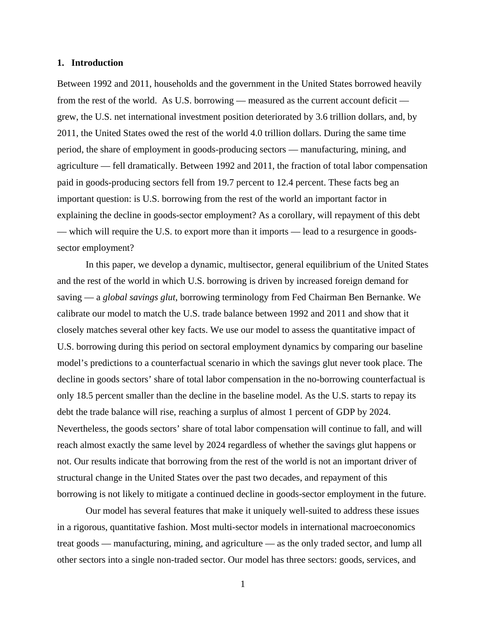#### **1. Introduction**

Between 1992 and 2011, households and the government in the United States borrowed heavily from the rest of the world. As U.S. borrowing — measured as the current account deficit grew, the U.S. net international investment position deteriorated by 3.6 trillion dollars, and, by 2011, the United States owed the rest of the world 4.0 trillion dollars. During the same time period, the share of employment in goods-producing sectors — manufacturing, mining, and agriculture — fell dramatically. Between 1992 and 2011, the fraction of total labor compensation paid in goods-producing sectors fell from 19.7 percent to 12.4 percent. These facts beg an important question: is U.S. borrowing from the rest of the world an important factor in explaining the decline in goods-sector employment? As a corollary, will repayment of this debt — which will require the U.S. to export more than it imports — lead to a resurgence in goodssector employment?

 In this paper, we develop a dynamic, multisector, general equilibrium of the United States and the rest of the world in which U.S. borrowing is driven by increased foreign demand for saving — a *global savings glut*, borrowing terminology from Fed Chairman Ben Bernanke. We calibrate our model to match the U.S. trade balance between 1992 and 2011 and show that it closely matches several other key facts. We use our model to assess the quantitative impact of U.S. borrowing during this period on sectoral employment dynamics by comparing our baseline model's predictions to a counterfactual scenario in which the savings glut never took place. The decline in goods sectors' share of total labor compensation in the no-borrowing counterfactual is only 18.5 percent smaller than the decline in the baseline model. As the U.S. starts to repay its debt the trade balance will rise, reaching a surplus of almost 1 percent of GDP by 2024. Nevertheless, the goods sectors' share of total labor compensation will continue to fall, and will reach almost exactly the same level by 2024 regardless of whether the savings glut happens or not. Our results indicate that borrowing from the rest of the world is not an important driver of structural change in the United States over the past two decades, and repayment of this borrowing is not likely to mitigate a continued decline in goods-sector employment in the future.

 Our model has several features that make it uniquely well-suited to address these issues in a rigorous, quantitative fashion. Most multi-sector models in international macroeconomics treat goods — manufacturing, mining, and agriculture — as the only traded sector, and lump all other sectors into a single non-traded sector. Our model has three sectors: goods, services, and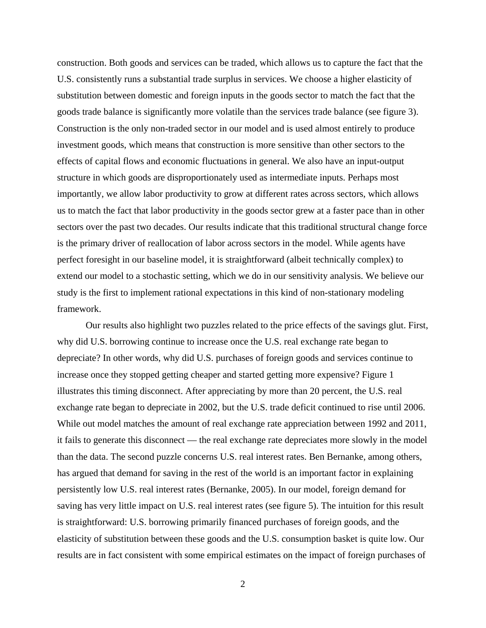construction. Both goods and services can be traded, which allows us to capture the fact that the U.S. consistently runs a substantial trade surplus in services. We choose a higher elasticity of substitution between domestic and foreign inputs in the goods sector to match the fact that the goods trade balance is significantly more volatile than the services trade balance (see figure 3). Construction is the only non-traded sector in our model and is used almost entirely to produce investment goods, which means that construction is more sensitive than other sectors to the effects of capital flows and economic fluctuations in general. We also have an input-output structure in which goods are disproportionately used as intermediate inputs. Perhaps most importantly, we allow labor productivity to grow at different rates across sectors, which allows us to match the fact that labor productivity in the goods sector grew at a faster pace than in other sectors over the past two decades. Our results indicate that this traditional structural change force is the primary driver of reallocation of labor across sectors in the model. While agents have perfect foresight in our baseline model, it is straightforward (albeit technically complex) to extend our model to a stochastic setting, which we do in our sensitivity analysis. We believe our study is the first to implement rational expectations in this kind of non-stationary modeling framework.

 Our results also highlight two puzzles related to the price effects of the savings glut. First, why did U.S. borrowing continue to increase once the U.S. real exchange rate began to depreciate? In other words, why did U.S. purchases of foreign goods and services continue to increase once they stopped getting cheaper and started getting more expensive? Figure 1 illustrates this timing disconnect. After appreciating by more than 20 percent, the U.S. real exchange rate began to depreciate in 2002, but the U.S. trade deficit continued to rise until 2006. While out model matches the amount of real exchange rate appreciation between 1992 and 2011, it fails to generate this disconnect — the real exchange rate depreciates more slowly in the model than the data. The second puzzle concerns U.S. real interest rates. Ben Bernanke, among others, has argued that demand for saving in the rest of the world is an important factor in explaining persistently low U.S. real interest rates (Bernanke, 2005). In our model, foreign demand for saving has very little impact on U.S. real interest rates (see figure 5). The intuition for this result is straightforward: U.S. borrowing primarily financed purchases of foreign goods, and the elasticity of substitution between these goods and the U.S. consumption basket is quite low. Our results are in fact consistent with some empirical estimates on the impact of foreign purchases of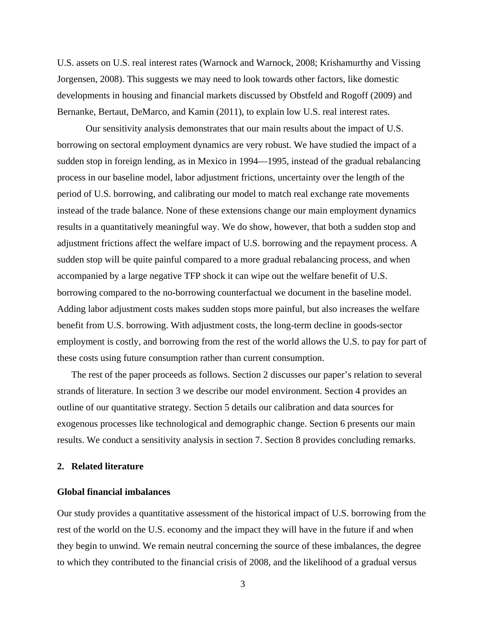U.S. assets on U.S. real interest rates (Warnock and Warnock, 2008; Krishamurthy and Vissing Jorgensen, 2008). This suggests we may need to look towards other factors, like domestic developments in housing and financial markets discussed by Obstfeld and Rogoff (2009) and Bernanke, Bertaut, DeMarco, and Kamin (2011), to explain low U.S. real interest rates.

 Our sensitivity analysis demonstrates that our main results about the impact of U.S. borrowing on sectoral employment dynamics are very robust. We have studied the impact of a sudden stop in foreign lending, as in Mexico in 1994—1995, instead of the gradual rebalancing process in our baseline model, labor adjustment frictions, uncertainty over the length of the period of U.S. borrowing, and calibrating our model to match real exchange rate movements instead of the trade balance. None of these extensions change our main employment dynamics results in a quantitatively meaningful way. We do show, however, that both a sudden stop and adjustment frictions affect the welfare impact of U.S. borrowing and the repayment process. A sudden stop will be quite painful compared to a more gradual rebalancing process, and when accompanied by a large negative TFP shock it can wipe out the welfare benefit of U.S. borrowing compared to the no-borrowing counterfactual we document in the baseline model. Adding labor adjustment costs makes sudden stops more painful, but also increases the welfare benefit from U.S. borrowing. With adjustment costs, the long-term decline in goods-sector employment is costly, and borrowing from the rest of the world allows the U.S. to pay for part of these costs using future consumption rather than current consumption.

The rest of the paper proceeds as follows. Section 2 discusses our paper's relation to several strands of literature. In section 3 we describe our model environment. Section 4 provides an outline of our quantitative strategy. Section 5 details our calibration and data sources for exogenous processes like technological and demographic change. Section 6 presents our main results. We conduct a sensitivity analysis in section 7. Section 8 provides concluding remarks.

## **2. Related literature**

#### **Global financial imbalances**

Our study provides a quantitative assessment of the historical impact of U.S. borrowing from the rest of the world on the U.S. economy and the impact they will have in the future if and when they begin to unwind. We remain neutral concerning the source of these imbalances, the degree to which they contributed to the financial crisis of 2008, and the likelihood of a gradual versus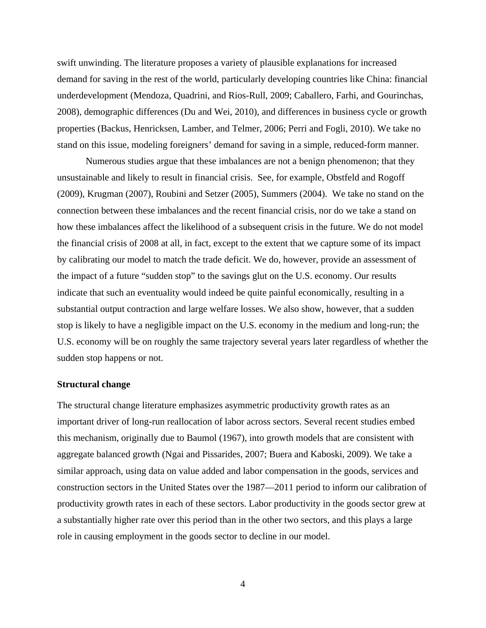swift unwinding. The literature proposes a variety of plausible explanations for increased demand for saving in the rest of the world, particularly developing countries like China: financial underdevelopment (Mendoza, Quadrini, and Rios-Rull, 2009; Caballero, Farhi, and Gourinchas, 2008), demographic differences (Du and Wei, 2010), and differences in business cycle or growth properties (Backus, Henricksen, Lamber, and Telmer, 2006; Perri and Fogli, 2010). We take no stand on this issue, modeling foreigners' demand for saving in a simple, reduced-form manner.

Numerous studies argue that these imbalances are not a benign phenomenon; that they unsustainable and likely to result in financial crisis. See, for example, Obstfeld and Rogoff (2009), Krugman (2007), Roubini and Setzer (2005), Summers (2004). We take no stand on the connection between these imbalances and the recent financial crisis, nor do we take a stand on how these imbalances affect the likelihood of a subsequent crisis in the future. We do not model the financial crisis of 2008 at all, in fact, except to the extent that we capture some of its impact by calibrating our model to match the trade deficit. We do, however, provide an assessment of the impact of a future "sudden stop" to the savings glut on the U.S. economy. Our results indicate that such an eventuality would indeed be quite painful economically, resulting in a substantial output contraction and large welfare losses. We also show, however, that a sudden stop is likely to have a negligible impact on the U.S. economy in the medium and long-run; the U.S. economy will be on roughly the same trajectory several years later regardless of whether the sudden stop happens or not.

#### **Structural change**

The structural change literature emphasizes asymmetric productivity growth rates as an important driver of long-run reallocation of labor across sectors. Several recent studies embed this mechanism, originally due to Baumol (1967), into growth models that are consistent with aggregate balanced growth (Ngai and Pissarides, 2007; Buera and Kaboski, 2009). We take a similar approach, using data on value added and labor compensation in the goods, services and construction sectors in the United States over the 1987—2011 period to inform our calibration of productivity growth rates in each of these sectors. Labor productivity in the goods sector grew at a substantially higher rate over this period than in the other two sectors, and this plays a large role in causing employment in the goods sector to decline in our model.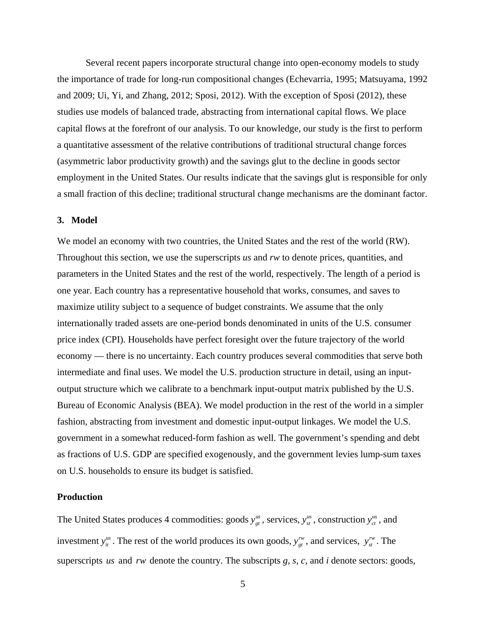Several recent papers incorporate structural change into open-economy models to study the importance of trade for long-run compositional changes (Echevarria, 1995; Matsuyama, 1992 and 2009; Ui, Yi, and Zhang, 2012; Sposi, 2012). With the exception of Sposi (2012), these studies use models of balanced trade, abstracting from international capital flows. We place capital flows at the forefront of our analysis. To our knowledge, our study is the first to perform a quantitative assessment of the relative contributions of traditional structural change forces (asymmetric labor productivity growth) and the savings glut to the decline in goods sector employment in the United States. Our results indicate that the savings glut is responsible for only a small fraction of this decline; traditional structural change mechanisms are the dominant factor.

#### **3. Model**

We model an economy with two countries, the United States and the rest of the world (RW). Throughout this section, we use the superscripts *us* and *rw* to denote prices, quantities, and parameters in the United States and the rest of the world, respectively. The length of a period is one year. Each country has a representative household that works, consumes, and saves to maximize utility subject to a sequence of budget constraints. We assume that the only internationally traded assets are one-period bonds denominated in units of the U.S. consumer price index (CPI). Households have perfect foresight over the future trajectory of the world economy — there is no uncertainty. Each country produces several commodities that serve both intermediate and final uses. We model the U.S. production structure in detail, using an inputoutput structure which we calibrate to a benchmark input-output matrix published by the U.S. Bureau of Economic Analysis (BEA). We model production in the rest of the world in a simpler fashion, abstracting from investment and domestic input-output linkages. We model the U.S. government in a somewhat reduced-form fashion as well. The government's spending and debt as fractions of U.S. GDP are specified exogenously, and the government levies lump-sum taxes on U.S. households to ensure its budget is satisfied.

## **Production**

The United States produces 4 commodities: goods  $y_{gt}^{us}$ , services,  $y_{st}^{us}$ , construction  $y_{ct}^{us}$ , and investment  $y_{it}^{us}$ . The rest of the world produces its own goods,  $y_{gt}^{rw}$ , and services,  $y_{st}^{rw}$ . The superscripts *us* and *rw* denote the country. The subscripts *g, s, c,* and *i* denote sectors: goods,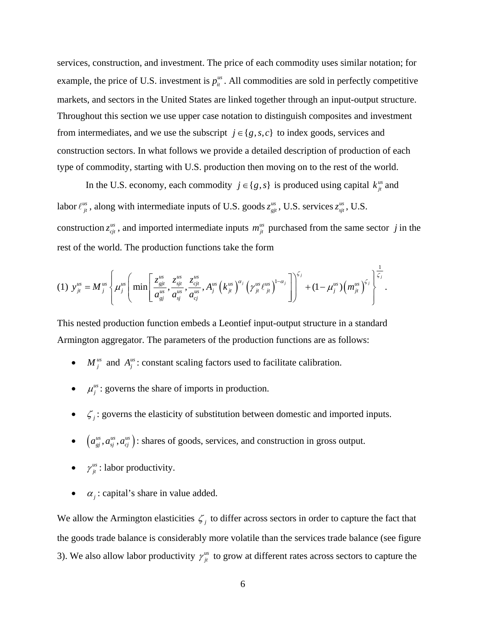services, construction, and investment. The price of each commodity uses similar notation; for example, the price of U.S. investment is  $p_{it}^{us}$ . All commodities are sold in perfectly competitive markets, and sectors in the United States are linked together through an input-output structure. Throughout this section we use upper case notation to distinguish composites and investment from intermediates, and we use the subscript  $j \in \{g, s, c\}$  to index goods, services and construction sectors. In what follows we provide a detailed description of production of each type of commodity, starting with U.S. production then moving on to the rest of the world.

In the U.S. economy, each commodity  $j \in \{g, s\}$  is produced using capital  $k_{ji}^{us}$  and labor  $\ell_{ji}^{us}$ , along with intermediate inputs of U.S. goods  $z_{gj}^{us}$  $z_{\textit{gjt}}^{\textit{us}}$ , U.S. services  $z_{\textit{sjt}}^{\textit{us}}$  $z_{\rm\scriptscriptstyle{sit}}^{\rm\scriptscriptstyle{us}}$ , U.S. construction  $z_{\text{c}j}^{\text{us}}$ , and imported intermediate inputs  $m_{j}^{\text{us}}$  purchased from the same sector *j* in the rest of the world. The production functions take the form

$$
(1) \ \ y_{ji}^{us} = M_{j}^{us} \left\{ \mu_{j}^{us} \left( \min \left[ \frac{z_{gji}^{us}}{a_{gj}^{us}}, \frac{z_{gji}^{us}}{a_{gj}^{us}}, \frac{z_{cji}^{us}}{a_{cj}^{us}}, A_{j}^{us} \left( k_{ji}^{us} \right)^{\alpha_{j}} \left( \gamma_{ji}^{us} \ell_{ji}^{us} \right)^{1-\alpha_{j}} \right] \right)^{\zeta_{j}} + (1-\mu_{j}^{us}) \left( m_{ji}^{us} \right)^{\zeta_{j}} \right\}^{\frac{1}{\zeta_{j}}}.
$$

This nested production function embeds a Leontief input-output structure in a standard Armington aggregator. The parameters of the production functions are as follows:

- $M_j^{us}$  and  $A_j^{us}$ : constant scaling factors used to facilitate calibration.
- $\mu_j^{us}$ : governs the share of imports in production.
- $\zeta_i$ : governs the elasticity of substitution between domestic and imported inputs.
- $\bullet \quad \left(a_{gi}^{us}, a_{sj}^{us}, a_{cj}^{us}\right)$ : shares of goods, services, and construction in gross output.
- $\gamma_{jt}^{us}$ : labor productivity.
- $\alpha_i$ : capital's share in value added.

We allow the Armington elasticities  $\zeta_i$  to differ across sectors in order to capture the fact that the goods trade balance is considerably more volatile than the services trade balance (see figure 3). We also allow labor productivity  $\gamma_{ji}^{us}$  to grow at different rates across sectors to capture the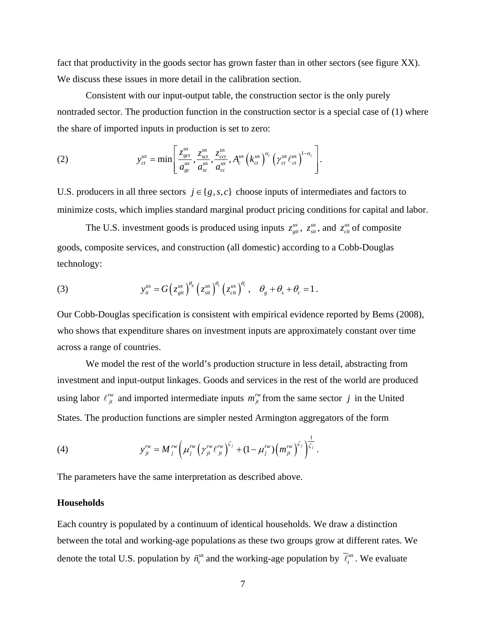fact that productivity in the goods sector has grown faster than in other sectors (see figure XX). We discuss these issues in more detail in the calibration section.

 Consistent with our input-output table, the construction sector is the only purely nontraded sector. The production function in the construction sector is a special case of (1) where the share of imported inputs in production is set to zero:

(2) 
$$
y_{ct}^{us} = \min \left[ \frac{z_{gct}^{us}}{a_{gc}^{us}}, \frac{z_{sct}^{us}}{a_{sc}^{us}}, \frac{z_{cct}^{us}}{a_{cc}^{us}}, A_c^{us} \left( k_{ct}^{us} \right)^{\alpha_c} \left( \gamma_{ct}^{us} \ell_{ct}^{us} \right)^{1-\alpha_c} \right].
$$

U.S. producers in all three sectors  $j \in \{g, s, c\}$  choose inputs of intermediates and factors to minimize costs, which implies standard marginal product pricing conditions for capital and labor.

The U.S. investment goods is produced using inputs  $z_{gi}^{us}$ ,  $z_{si}^{us}$ , and  $z_{ci}^{us}$  of composite goods, composite services, and construction (all domestic) according to a Cobb-Douglas technology:

(3) 
$$
y_{it}^{us} = G\left(z_{git}^{us}\right)^{\theta_g}\left(z_{sit}^{us}\right)^{\theta_s}\left(z_{cit}^{us}\right)^{\theta_c}, \quad \theta_g + \theta_s + \theta_c = 1.
$$

Our Cobb-Douglas specification is consistent with empirical evidence reported by Bems (2008), who shows that expenditure shares on investment inputs are approximately constant over time across a range of countries.

 We model the rest of the world's production structure in less detail, abstracting from investment and input-output linkages. Goods and services in the rest of the world are produced using labor  $\ell_{ji}^{rw}$  and imported intermediate inputs  $m_{ji}^{rw}$  from the same sector *j* in the United States. The production functions are simpler nested Armington aggregators of the form

(4) 
$$
y_{ji}^{rw} = M_j^{rw} \left( \mu_j^{rw} \left( \gamma_{ji}^{rw} \ell_{ji}^{rw} \right)^{\zeta_j} + (1 - \mu_j^{rw}) \left( m_{ji}^{rw} \right)^{\zeta_j} \right)^{\frac{1}{\zeta_j}}.
$$

The parameters have the same interpretation as described above.

### **Households**

Each country is populated by a continuum of identical households. We draw a distinction between the total and working-age populations as these two groups grow at different rates. We denote the total U.S. population by  $\tilde{n}_t^{us}$  and the working-age population by  $\bar{\ell}_t^{us}$ . We evaluate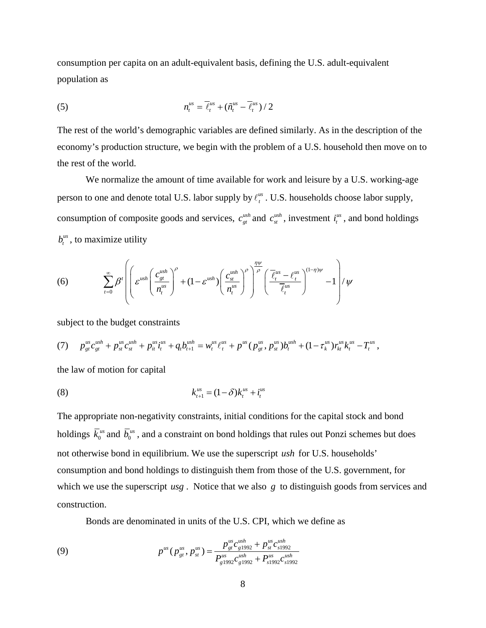consumption per capita on an adult-equivalent basis, defining the U.S. adult-equivalent population as

(5) 
$$
n_t^{us} = \overline{\ell}_t^{us} + (\tilde{n}_t^{us} - \overline{\ell}_t^{us})/2
$$

The rest of the world's demographic variables are defined similarly. As in the description of the economy's production structure, we begin with the problem of a U.S. household then move on to the rest of the world.

 We normalize the amount of time available for work and leisure by a U.S. working-age person to one and denote total U.S. labor supply by  $\ell_t^{\text{us}}$ . U.S. households choose labor supply, consumption of composite goods and services,  $c_{gt}^{ush}$  and  $c_{st}^{ush}$ , investment  $i_t^{us}$ , and bond holdings  $b_t^{\text{us}}$ , to maximize utility

(6) 
$$
\sum_{t=0}^{\infty} \beta^{t} \left( \left( \varepsilon^{ush} \left( \frac{c_{gt}^{ush}}{n_t^{us}} \right)^{\rho} + (1 - \varepsilon^{ush}) \left( \frac{c_{st}^{ush}}{n_t^{us}} \right)^{\rho} \right)^{\frac{\eta \psi}{\rho}} \left( \frac{\overline{\ell}_{t}^{us} - \ell_{t}^{us}}{\overline{\ell}_{t}^{us}} \right)^{(1-\eta)\psi} - 1 \right) / \psi
$$

subject to the budget constraints

$$
(7) \t p_{gt}^{us} c_{gt}^{ush} + p_{st}^{us} c_{st}^{ush} + p_{it}^{us} i_t^{us} + q_t b_{t+1}^{ush} = w_t^{us} \ell_t^{us} + p_{st}^{us} (p_{gt}^{us}, p_{st}^{us}) b_t^{ush} + (1 - \tau_k^{us}) r_{kt}^{us} k_t^{us} - T_t^{us},
$$

the law of motion for capital

(8) 
$$
k_{t+1}^{us} = (1 - \delta)k_t^{us} + i_t^{us}
$$

The appropriate non-negativity constraints, initial conditions for the capital stock and bond holdings  $\bar{k}_0^{us}$  and  $\bar{b}_0^{us}$ , and a constraint on bond holdings that rules out Ponzi schemes but does not otherwise bond in equilibrium. We use the superscript *ush* for U.S. households' consumption and bond holdings to distinguish them from those of the U.S. government, for which we use the superscript *usg*. Notice that we also *g* to distinguish goods from services and construction.

Bonds are denominated in units of the U.S. CPI, which we define as

(9) 
$$
p^{us}(p_{gt}^{us}, p_{st}^{us}) = \frac{p_{gt}^{us}c_{g1992}^{ush} + p_{st}^{us}c_{s1992}^{ush}}{P_{g1992}^{us}c_{g1992}^{ush} + P_{s1992}^{us}c_{s1992}^{ush}}
$$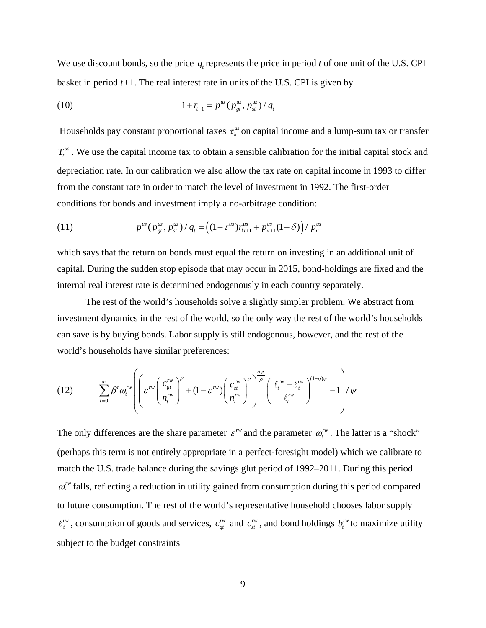We use discount bonds, so the price  $q$  represents the price in period  $t$  of one unit of the U.S. CPI basket in period *t+*1. The real interest rate in units of the U.S. CPI is given by

(10) 
$$
1 + r_{t+1} = p^{us} (p^{us}_{gt}, p^{us}_{st}) / q_t
$$

Households pay constant proportional taxes  $\tau_k^{\mu s}$  on capital income and a lump-sum tax or transfer  $T_t^{us}$ . We use the capital income tax to obtain a sensible calibration for the initial capital stock and depreciation rate. In our calibration we also allow the tax rate on capital income in 1993 to differ from the constant rate in order to match the level of investment in 1992. The first-order conditions for bonds and investment imply a no-arbitrage condition:

(11) 
$$
p^{us}(p_{gt}^{us}, p_{st}^{us})/q_t = ((1 - \tau^{us})r_{kt+1}^{us} + p_{it+1}^{us}(1 - \delta))/p_{it}^{us}
$$

which says that the return on bonds must equal the return on investing in an additional unit of capital. During the sudden stop episode that may occur in 2015, bond-holdings are fixed and the internal real interest rate is determined endogenously in each country separately.

 The rest of the world's households solve a slightly simpler problem. We abstract from investment dynamics in the rest of the world, so the only way the rest of the world's households can save is by buying bonds. Labor supply is still endogenous, however, and the rest of the world's households have similar preferences:

$$
(12) \qquad \sum_{t=0}^{\infty} \beta^t \omega_t^{rw} \left( \left( \varepsilon^{rw} \left( \frac{c_{gt}^{rw}}{n_t^{rw}} \right)^{\rho} + (1 - \varepsilon^{rw}) \left( \frac{c_{st}^{rw}}{n_t^{rw}} \right)^{\rho} \right) \frac{\frac{\eta \psi}{\rho}}{\left( \frac{\overline{\ell}_t^{rw} - \ell_t^{rw}}{\overline{\ell}_t^{rw}} \right)^{(1-\eta)\psi}} - 1 \right) / \psi
$$

The only differences are the share parameter  $\varepsilon^{rw}$  and the parameter  $\omega_t^{rw}$ . The latter is a "shock" (perhaps this term is not entirely appropriate in a perfect-foresight model) which we calibrate to match the U.S. trade balance during the savings glut period of 1992–2011. During this period  $\omega_t^{\text{rw}}$  falls, reflecting a reduction in utility gained from consumption during this period compared to future consumption. The rest of the world's representative household chooses labor supply  $\ell_i^{rw}$ , consumption of goods and services,  $c_{gt}^{rw}$  and  $c_{st}^{rw}$ , and bond holdings  $b_i^{rw}$  to maximize utility subject to the budget constraints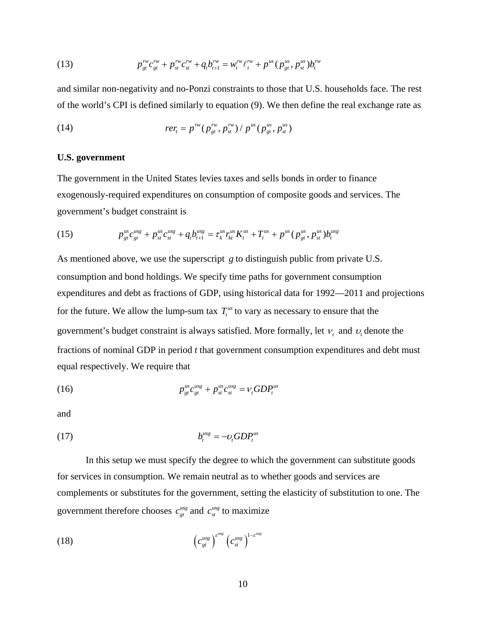(13) 
$$
p_{gt}^{rw}c_{gt}^{rw} + p_{st}^{rw}c_{st}^{rw} + q_{t}b_{t+1}^{rw} = w_{t}^{rw}\ell_{t}^{rw} + p^{ws}(p_{gt}^{ws}, p_{st}^{ws})b_{t}^{rw}
$$

and similar non-negativity and no-Ponzi constraints to those that U.S. households face. The rest of the world's CPI is defined similarly to equation (9). We then define the real exchange rate as

(14) 
$$
rer_{t} = p^{rw}(p_{gt}^{rw}, p_{st}^{rw}) / p^{us}(p_{gt}^{us}, p_{st}^{us})
$$

## **U.S. government**

The government in the United States levies taxes and sells bonds in order to finance exogenously-required expenditures on consumption of composite goods and services. The government's budget constraint is

(15) 
$$
p_{gt}^{us}c_{gt}^{us} + p_{st}^{us}c_{st}^{us} + q_{t}b_{t+1}^{us} = \tau_{k}^{us}r_{kt}^{us}K_{t}^{us} + T_{t}^{us} + p_{t}^{us}(p_{gt}^{us}, p_{st}^{us})b_{t}^{us}
$$

As mentioned above, we use the superscript *g* to distinguish public from private U.S. consumption and bond holdings. We specify time paths for government consumption expenditures and debt as fractions of GDP, using historical data for 1992—2011 and projections for the future. We allow the lump-sum tax  $T_t^{us}$  to vary as necessary to ensure that the government's budget constraint is always satisfied. More formally, let  $v_t$  and  $v_t$  denote the fractions of nominal GDP in period *t* that government consumption expenditures and debt must equal respectively. We require that

(16) 
$$
p_{gt}^{us}c_{gt}^{us} + p_{st}^{us}c_{st}^{us} = v_t GDP_t^{us}
$$

and

$$
(17) \t\t b_t^{usg} = -\nu_t GDP_t^{us}
$$

 In this setup we must specify the degree to which the government can substitute goods for services in consumption. We remain neutral as to whether goods and services are complements or substitutes for the government, setting the elasticity of substitution to one. The government therefore chooses  $c_{gt}^{usg}$  and  $c_{st}^{usg}$  to maximize

$$
(18) \t\t \left(c_{gt}^{usg}\right)^{e^{usg}}\left(c_{st}^{usg}\right)^{1-e^{usg}}
$$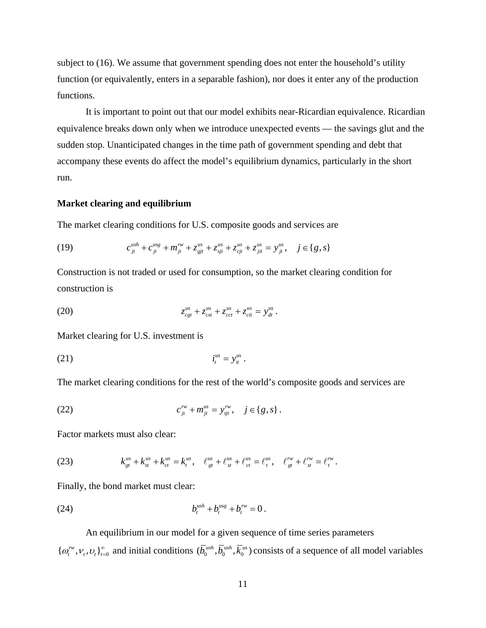subject to (16). We assume that government spending does not enter the household's utility function (or equivalently, enters in a separable fashion), nor does it enter any of the production functions.

 It is important to point out that our model exhibits near-Ricardian equivalence. Ricardian equivalence breaks down only when we introduce unexpected events — the savings glut and the sudden stop. Unanticipated changes in the time path of government spending and debt that accompany these events do affect the model's equilibrium dynamics, particularly in the short run.

#### **Market clearing and equilibrium**

The market clearing conditions for U.S. composite goods and services are

(19) 
$$
c_{jt}^{ush} + c_{jt}^{usg} + m_{jt}^{rw} + z_{gjt}^{us} + z_{sjt}^{us} + z_{cjt}^{us} + z_{jit}^{us} = y_{jt}^{us}, \quad j \in \{g, s\}
$$

Construction is not traded or used for consumption, so the market clearing condition for construction is

(20) 
$$
z_{cgt}^{us} + z_{cst}^{us} + z_{cct}^{us} + z_{cit}^{us} = y_{dt}^{us}.
$$

Market clearing for U.S. investment is

$$
(21) \t\t\t\t itus = yitus.
$$

The market clearing conditions for the rest of the world's composite goods and services are

(22) 
$$
c_{jt}^{rw} + m_{jt}^{us} = y_{tjt}^{rw}, \quad j \in \{g, s\}.
$$

Factor markets must also clear:

(23) 
$$
k_{gt}^{us} + k_{st}^{us} + k_{ct}^{us} = k_t^{us}, \quad \ell_{gt}^{us} + \ell_{st}^{us} + \ell_{ct}^{us} = \ell_t^{us}, \quad \ell_{gt}^{rw} + \ell_{st}^{rw} = \ell_t^{rw}.
$$

Finally, the bond market must clear:

(24) 
$$
b_t^{ush} + b_t^{us} + b_t^{rw} = 0.
$$

 An equilibrium in our model for a given sequence of time series parameters  $\{\omega_i^{rw}, v_i, v_t\}_{t=0}^{\infty}$  and initial conditions  $(\overline{b}_0^{ush}, \overline{b}_0^{ush}, \overline{k}_0^{us})$  consists of a sequence of all model variables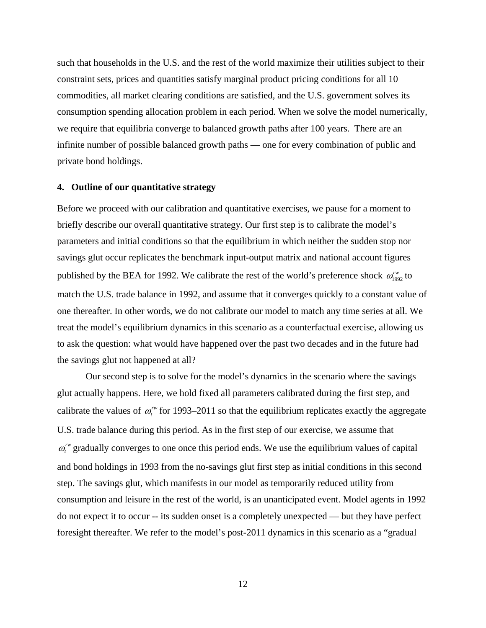such that households in the U.S. and the rest of the world maximize their utilities subject to their constraint sets, prices and quantities satisfy marginal product pricing conditions for all 10 commodities, all market clearing conditions are satisfied, and the U.S. government solves its consumption spending allocation problem in each period. When we solve the model numerically, we require that equilibria converge to balanced growth paths after 100 years. There are an infinite number of possible balanced growth paths — one for every combination of public and private bond holdings.

## **4. Outline of our quantitative strategy**

Before we proceed with our calibration and quantitative exercises, we pause for a moment to briefly describe our overall quantitative strategy. Our first step is to calibrate the model's parameters and initial conditions so that the equilibrium in which neither the sudden stop nor savings glut occur replicates the benchmark input-output matrix and national account figures published by the BEA for 1992. We calibrate the rest of the world's preference shock  $\omega_{1992}^{rw}$  to match the U.S. trade balance in 1992, and assume that it converges quickly to a constant value of one thereafter. In other words, we do not calibrate our model to match any time series at all. We treat the model's equilibrium dynamics in this scenario as a counterfactual exercise, allowing us to ask the question: what would have happened over the past two decades and in the future had the savings glut not happened at all?

Our second step is to solve for the model's dynamics in the scenario where the savings glut actually happens. Here, we hold fixed all parameters calibrated during the first step, and calibrate the values of  $\omega_r^{\prime\prime\prime}$  for 1993–2011 so that the equilibrium replicates exactly the aggregate U.S. trade balance during this period. As in the first step of our exercise, we assume that  $\omega_t^{\text{rw}}$  gradually converges to one once this period ends. We use the equilibrium values of capital and bond holdings in 1993 from the no-savings glut first step as initial conditions in this second step. The savings glut, which manifests in our model as temporarily reduced utility from consumption and leisure in the rest of the world, is an unanticipated event. Model agents in 1992 do not expect it to occur -- its sudden onset is a completely unexpected — but they have perfect foresight thereafter. We refer to the model's post-2011 dynamics in this scenario as a "gradual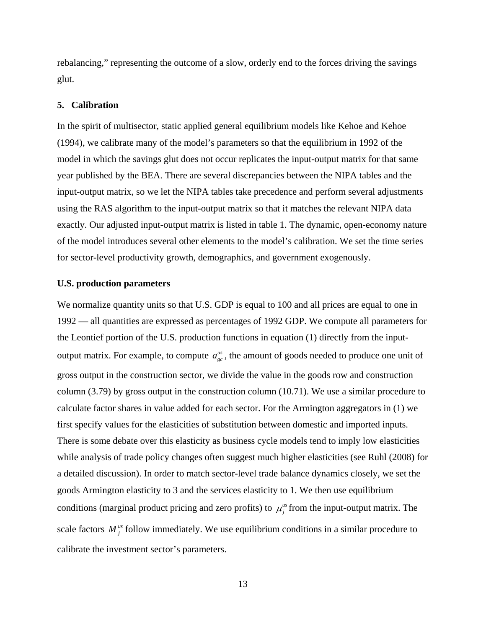rebalancing," representing the outcome of a slow, orderly end to the forces driving the savings glut.

#### **5. Calibration**

In the spirit of multisector, static applied general equilibrium models like Kehoe and Kehoe (1994), we calibrate many of the model's parameters so that the equilibrium in 1992 of the model in which the savings glut does not occur replicates the input-output matrix for that same year published by the BEA. There are several discrepancies between the NIPA tables and the input-output matrix, so we let the NIPA tables take precedence and perform several adjustments using the RAS algorithm to the input-output matrix so that it matches the relevant NIPA data exactly. Our adjusted input-output matrix is listed in table 1. The dynamic, open-economy nature of the model introduces several other elements to the model's calibration. We set the time series for sector-level productivity growth, demographics, and government exogenously.

#### **U.S. production parameters**

We normalize quantity units so that U.S. GDP is equal to 100 and all prices are equal to one in 1992 — all quantities are expressed as percentages of 1992 GDP. We compute all parameters for the Leontief portion of the U.S. production functions in equation (1) directly from the inputoutput matrix. For example, to compute  $a_{gc}^{us}$ , the amount of goods needed to produce one unit of gross output in the construction sector, we divide the value in the goods row and construction column (3.79) by gross output in the construction column (10.71). We use a similar procedure to calculate factor shares in value added for each sector. For the Armington aggregators in (1) we first specify values for the elasticities of substitution between domestic and imported inputs. There is some debate over this elasticity as business cycle models tend to imply low elasticities while analysis of trade policy changes often suggest much higher elasticities (see Ruhl (2008) for a detailed discussion). In order to match sector-level trade balance dynamics closely, we set the goods Armington elasticity to 3 and the services elasticity to 1. We then use equilibrium conditions (marginal product pricing and zero profits) to  $\mu_j^{us}$  from the input-output matrix. The scale factors  $M_j^{\mu s}$  follow immediately. We use equilibrium conditions in a similar procedure to calibrate the investment sector's parameters.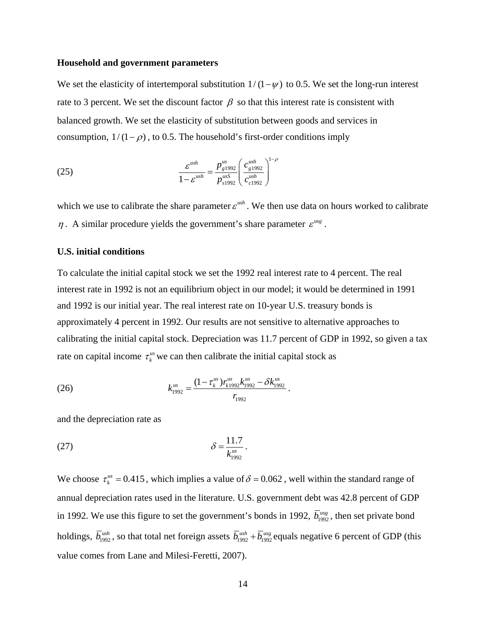#### **Household and government parameters**

We set the elasticity of intertemporal substitution  $1/(1-\psi)$  to 0.5. We set the long-run interest rate to 3 percent. We set the discount factor  $\beta$  so that this interest rate is consistent with balanced growth. We set the elasticity of substitution between goods and services in consumption,  $1/(1 - \rho)$ , to 0.5. The household's first-order conditions imply

(25) 
$$
\frac{\varepsilon^{ush}}{1 - \varepsilon^{ush}} = \frac{p_{g1992}^{us}}{p_{s1992}^{us}} \left( \frac{c_{g1992}^{ush}}{c_{c1992}^{ush}} \right)^{1 - \rho}
$$

which we use to calibrate the share parameter  $\varepsilon^{ush}$ . We then use data on hours worked to calibrate  $\eta$ . A similar procedure yields the government's share parameter  $\varepsilon^{usg}$ .

#### **U.S. initial conditions**

To calculate the initial capital stock we set the 1992 real interest rate to 4 percent. The real interest rate in 1992 is not an equilibrium object in our model; it would be determined in 1991 and 1992 is our initial year. The real interest rate on 10-year U.S. treasury bonds is approximately 4 percent in 1992. Our results are not sensitive to alternative approaches to calibrating the initial capital stock. Depreciation was 11.7 percent of GDP in 1992, so given a tax rate on capital income  $\tau_k^{\text{us}}$  we can then calibrate the initial capital stock as

(26) 
$$
k_{1992}^{us} = \frac{(1 - \tau_k^{us})r_{k1992}^{us}k_{1992}^{us} - \delta k_{1992}^{us}}{r_{1992}}.
$$

and the depreciation rate as

(27) 
$$
\delta = \frac{11.7}{k_{1992}^{us}}.
$$

We choose  $\tau_k^{us} = 0.415$ , which implies a value of  $\delta = 0.062$ , well within the standard range of annual depreciation rates used in the literature. U.S. government debt was 42.8 percent of GDP in 1992. We use this figure to set the government's bonds in 1992,  $\overline{b}_{1992}^{usg}$ , then set private bond holdings,  $\overline{b}_{1992}^{ush}$ , so that total net foreign assets  $\overline{b}_{1992}^{ush} + \overline{b}_{1992}^{uss}$  equals negative 6 percent of GDP (this value comes from Lane and Milesi-Feretti, 2007).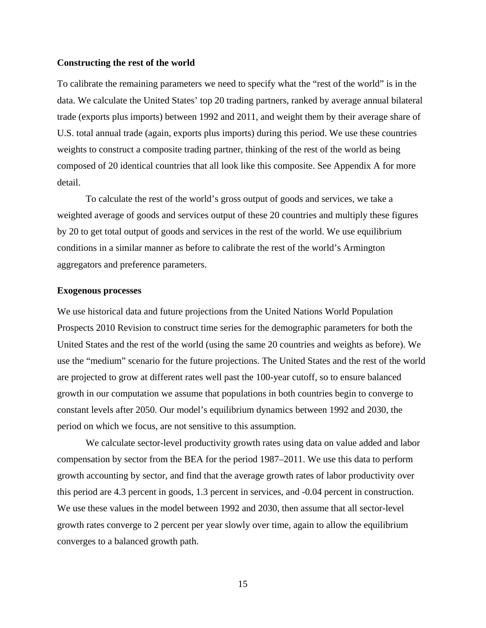#### **Constructing the rest of the world**

To calibrate the remaining parameters we need to specify what the "rest of the world" is in the data. We calculate the United States' top 20 trading partners, ranked by average annual bilateral trade (exports plus imports) between 1992 and 2011, and weight them by their average share of U.S. total annual trade (again, exports plus imports) during this period. We use these countries weights to construct a composite trading partner, thinking of the rest of the world as being composed of 20 identical countries that all look like this composite. See Appendix A for more detail.

 To calculate the rest of the world's gross output of goods and services, we take a weighted average of goods and services output of these 20 countries and multiply these figures by 20 to get total output of goods and services in the rest of the world. We use equilibrium conditions in a similar manner as before to calibrate the rest of the world's Armington aggregators and preference parameters.

#### **Exogenous processes**

We use historical data and future projections from the United Nations World Population Prospects 2010 Revision to construct time series for the demographic parameters for both the United States and the rest of the world (using the same 20 countries and weights as before). We use the "medium" scenario for the future projections. The United States and the rest of the world are projected to grow at different rates well past the 100-year cutoff, so to ensure balanced growth in our computation we assume that populations in both countries begin to converge to constant levels after 2050. Our model's equilibrium dynamics between 1992 and 2030, the period on which we focus, are not sensitive to this assumption.

 We calculate sector-level productivity growth rates using data on value added and labor compensation by sector from the BEA for the period 1987–2011. We use this data to perform growth accounting by sector, and find that the average growth rates of labor productivity over this period are 4.3 percent in goods, 1.3 percent in services, and -0.04 percent in construction. We use these values in the model between 1992 and 2030, then assume that all sector-level growth rates converge to 2 percent per year slowly over time, again to allow the equilibrium converges to a balanced growth path.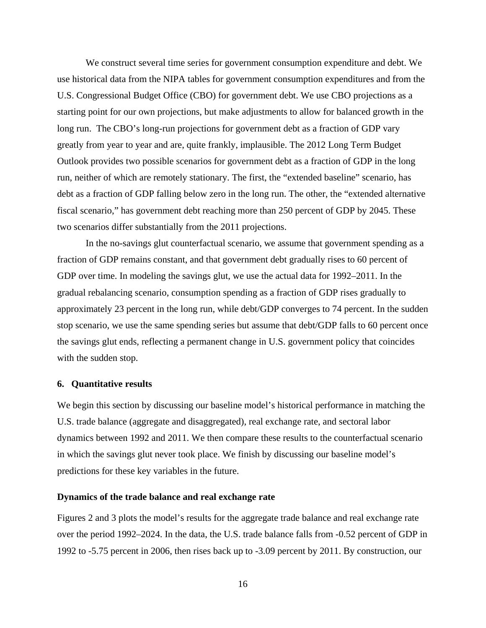We construct several time series for government consumption expenditure and debt. We use historical data from the NIPA tables for government consumption expenditures and from the U.S. Congressional Budget Office (CBO) for government debt. We use CBO projections as a starting point for our own projections, but make adjustments to allow for balanced growth in the long run. The CBO's long-run projections for government debt as a fraction of GDP vary greatly from year to year and are, quite frankly, implausible. The 2012 Long Term Budget Outlook provides two possible scenarios for government debt as a fraction of GDP in the long run, neither of which are remotely stationary. The first, the "extended baseline" scenario, has debt as a fraction of GDP falling below zero in the long run. The other, the "extended alternative fiscal scenario," has government debt reaching more than 250 percent of GDP by 2045. These two scenarios differ substantially from the 2011 projections.

In the no-savings glut counterfactual scenario, we assume that government spending as a fraction of GDP remains constant, and that government debt gradually rises to 60 percent of GDP over time. In modeling the savings glut, we use the actual data for 1992–2011. In the gradual rebalancing scenario, consumption spending as a fraction of GDP rises gradually to approximately 23 percent in the long run, while debt/GDP converges to 74 percent. In the sudden stop scenario, we use the same spending series but assume that debt/GDP falls to 60 percent once the savings glut ends, reflecting a permanent change in U.S. government policy that coincides with the sudden stop.

#### **6. Quantitative results**

We begin this section by discussing our baseline model's historical performance in matching the U.S. trade balance (aggregate and disaggregated), real exchange rate, and sectoral labor dynamics between 1992 and 2011. We then compare these results to the counterfactual scenario in which the savings glut never took place. We finish by discussing our baseline model's predictions for these key variables in the future.

## **Dynamics of the trade balance and real exchange rate**

Figures 2 and 3 plots the model's results for the aggregate trade balance and real exchange rate over the period 1992–2024. In the data, the U.S. trade balance falls from -0.52 percent of GDP in 1992 to -5.75 percent in 2006, then rises back up to -3.09 percent by 2011. By construction, our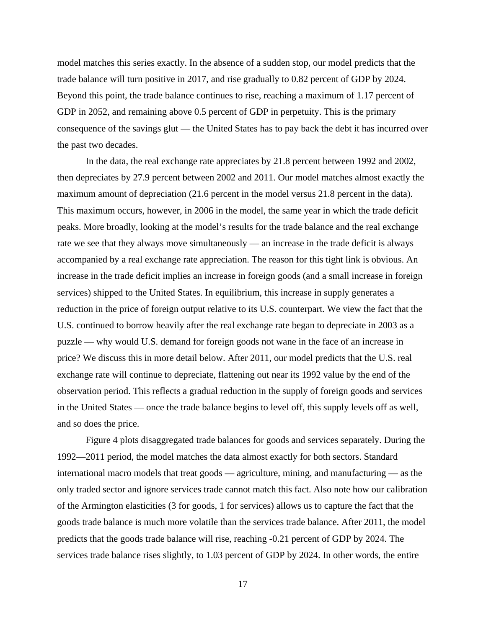model matches this series exactly. In the absence of a sudden stop, our model predicts that the trade balance will turn positive in 2017, and rise gradually to 0.82 percent of GDP by 2024. Beyond this point, the trade balance continues to rise, reaching a maximum of 1.17 percent of GDP in 2052, and remaining above 0.5 percent of GDP in perpetuity. This is the primary consequence of the savings glut — the United States has to pay back the debt it has incurred over the past two decades.

 In the data, the real exchange rate appreciates by 21.8 percent between 1992 and 2002, then depreciates by 27.9 percent between 2002 and 2011. Our model matches almost exactly the maximum amount of depreciation (21.6 percent in the model versus 21.8 percent in the data). This maximum occurs, however, in 2006 in the model, the same year in which the trade deficit peaks. More broadly, looking at the model's results for the trade balance and the real exchange rate we see that they always move simultaneously — an increase in the trade deficit is always accompanied by a real exchange rate appreciation. The reason for this tight link is obvious. An increase in the trade deficit implies an increase in foreign goods (and a small increase in foreign services) shipped to the United States. In equilibrium, this increase in supply generates a reduction in the price of foreign output relative to its U.S. counterpart. We view the fact that the U.S. continued to borrow heavily after the real exchange rate began to depreciate in 2003 as a puzzle — why would U.S. demand for foreign goods not wane in the face of an increase in price? We discuss this in more detail below. After 2011, our model predicts that the U.S. real exchange rate will continue to depreciate, flattening out near its 1992 value by the end of the observation period. This reflects a gradual reduction in the supply of foreign goods and services in the United States — once the trade balance begins to level off, this supply levels off as well, and so does the price.

Figure 4 plots disaggregated trade balances for goods and services separately. During the 1992—2011 period, the model matches the data almost exactly for both sectors. Standard international macro models that treat goods — agriculture, mining, and manufacturing — as the only traded sector and ignore services trade cannot match this fact. Also note how our calibration of the Armington elasticities (3 for goods, 1 for services) allows us to capture the fact that the goods trade balance is much more volatile than the services trade balance. After 2011, the model predicts that the goods trade balance will rise, reaching -0.21 percent of GDP by 2024. The services trade balance rises slightly, to 1.03 percent of GDP by 2024. In other words, the entire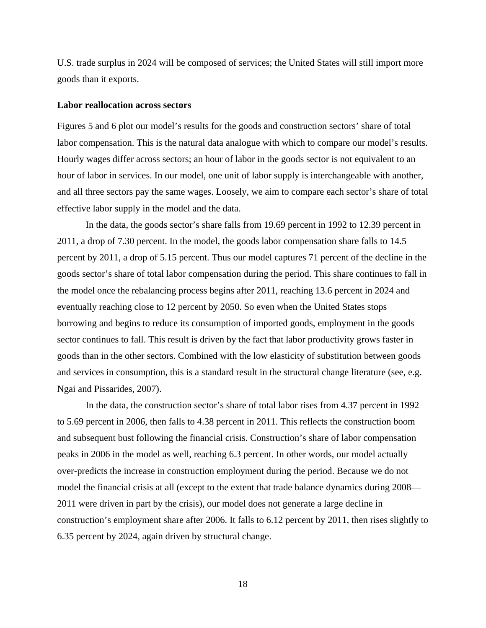U.S. trade surplus in 2024 will be composed of services; the United States will still import more goods than it exports.

#### **Labor reallocation across sectors**

Figures 5 and 6 plot our model's results for the goods and construction sectors' share of total labor compensation. This is the natural data analogue with which to compare our model's results. Hourly wages differ across sectors; an hour of labor in the goods sector is not equivalent to an hour of labor in services. In our model, one unit of labor supply is interchangeable with another, and all three sectors pay the same wages. Loosely, we aim to compare each sector's share of total effective labor supply in the model and the data.

In the data, the goods sector's share falls from 19.69 percent in 1992 to 12.39 percent in 2011, a drop of 7.30 percent. In the model, the goods labor compensation share falls to 14.5 percent by 2011, a drop of 5.15 percent. Thus our model captures 71 percent of the decline in the goods sector's share of total labor compensation during the period. This share continues to fall in the model once the rebalancing process begins after 2011, reaching 13.6 percent in 2024 and eventually reaching close to 12 percent by 2050. So even when the United States stops borrowing and begins to reduce its consumption of imported goods, employment in the goods sector continues to fall. This result is driven by the fact that labor productivity grows faster in goods than in the other sectors. Combined with the low elasticity of substitution between goods and services in consumption, this is a standard result in the structural change literature (see, e.g. Ngai and Pissarides, 2007).

In the data, the construction sector's share of total labor rises from 4.37 percent in 1992 to 5.69 percent in 2006, then falls to 4.38 percent in 2011. This reflects the construction boom and subsequent bust following the financial crisis. Construction's share of labor compensation peaks in 2006 in the model as well, reaching 6.3 percent. In other words, our model actually over-predicts the increase in construction employment during the period. Because we do not model the financial crisis at all (except to the extent that trade balance dynamics during 2008— 2011 were driven in part by the crisis), our model does not generate a large decline in construction's employment share after 2006. It falls to 6.12 percent by 2011, then rises slightly to 6.35 percent by 2024, again driven by structural change.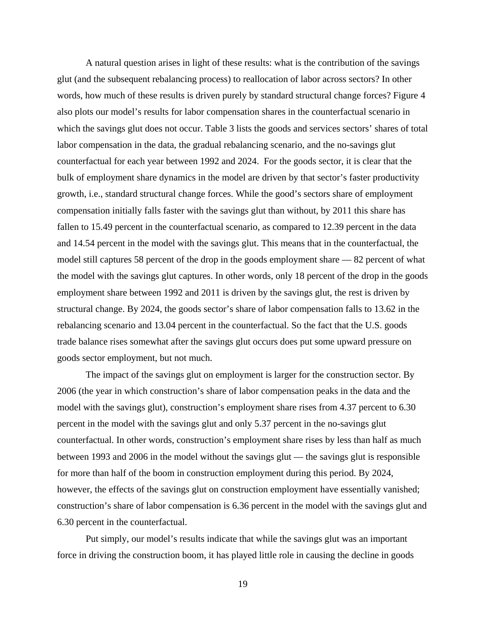A natural question arises in light of these results: what is the contribution of the savings glut (and the subsequent rebalancing process) to reallocation of labor across sectors? In other words, how much of these results is driven purely by standard structural change forces? Figure 4 also plots our model's results for labor compensation shares in the counterfactual scenario in which the savings glut does not occur. Table 3 lists the goods and services sectors' shares of total labor compensation in the data, the gradual rebalancing scenario, and the no-savings glut counterfactual for each year between 1992 and 2024. For the goods sector, it is clear that the bulk of employment share dynamics in the model are driven by that sector's faster productivity growth, i.e., standard structural change forces. While the good's sectors share of employment compensation initially falls faster with the savings glut than without, by 2011 this share has fallen to 15.49 percent in the counterfactual scenario, as compared to 12.39 percent in the data and 14.54 percent in the model with the savings glut. This means that in the counterfactual, the model still captures 58 percent of the drop in the goods employment share — 82 percent of what the model with the savings glut captures. In other words, only 18 percent of the drop in the goods employment share between 1992 and 2011 is driven by the savings glut, the rest is driven by structural change. By 2024, the goods sector's share of labor compensation falls to 13.62 in the rebalancing scenario and 13.04 percent in the counterfactual. So the fact that the U.S. goods trade balance rises somewhat after the savings glut occurs does put some upward pressure on goods sector employment, but not much.

The impact of the savings glut on employment is larger for the construction sector. By 2006 (the year in which construction's share of labor compensation peaks in the data and the model with the savings glut), construction's employment share rises from 4.37 percent to 6.30 percent in the model with the savings glut and only 5.37 percent in the no-savings glut counterfactual. In other words, construction's employment share rises by less than half as much between 1993 and 2006 in the model without the savings glut — the savings glut is responsible for more than half of the boom in construction employment during this period. By 2024, however, the effects of the savings glut on construction employment have essentially vanished; construction's share of labor compensation is 6.36 percent in the model with the savings glut and 6.30 percent in the counterfactual.

Put simply, our model's results indicate that while the savings glut was an important force in driving the construction boom, it has played little role in causing the decline in goods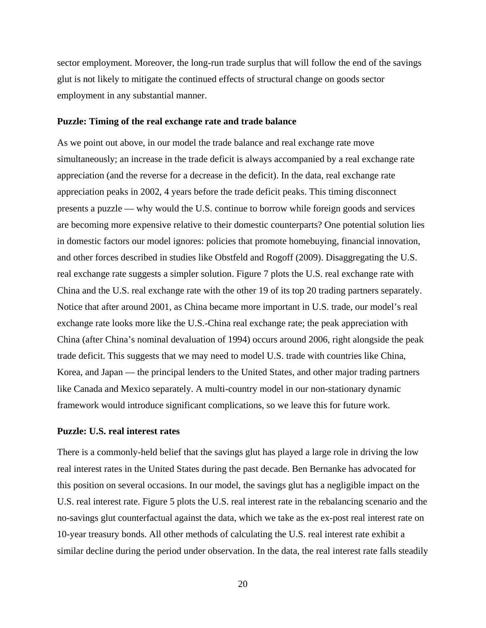sector employment. Moreover, the long-run trade surplus that will follow the end of the savings glut is not likely to mitigate the continued effects of structural change on goods sector employment in any substantial manner.

#### **Puzzle: Timing of the real exchange rate and trade balance**

As we point out above, in our model the trade balance and real exchange rate move simultaneously; an increase in the trade deficit is always accompanied by a real exchange rate appreciation (and the reverse for a decrease in the deficit). In the data, real exchange rate appreciation peaks in 2002, 4 years before the trade deficit peaks. This timing disconnect presents a puzzle — why would the U.S. continue to borrow while foreign goods and services are becoming more expensive relative to their domestic counterparts? One potential solution lies in domestic factors our model ignores: policies that promote homebuying, financial innovation, and other forces described in studies like Obstfeld and Rogoff (2009). Disaggregating the U.S. real exchange rate suggests a simpler solution. Figure 7 plots the U.S. real exchange rate with China and the U.S. real exchange rate with the other 19 of its top 20 trading partners separately. Notice that after around 2001, as China became more important in U.S. trade, our model's real exchange rate looks more like the U.S.-China real exchange rate; the peak appreciation with China (after China's nominal devaluation of 1994) occurs around 2006, right alongside the peak trade deficit. This suggests that we may need to model U.S. trade with countries like China, Korea, and Japan — the principal lenders to the United States, and other major trading partners like Canada and Mexico separately. A multi-country model in our non-stationary dynamic framework would introduce significant complications, so we leave this for future work.

#### **Puzzle: U.S. real interest rates**

There is a commonly-held belief that the savings glut has played a large role in driving the low real interest rates in the United States during the past decade. Ben Bernanke has advocated for this position on several occasions. In our model, the savings glut has a negligible impact on the U.S. real interest rate. Figure 5 plots the U.S. real interest rate in the rebalancing scenario and the no-savings glut counterfactual against the data, which we take as the ex-post real interest rate on 10-year treasury bonds. All other methods of calculating the U.S. real interest rate exhibit a similar decline during the period under observation. In the data, the real interest rate falls steadily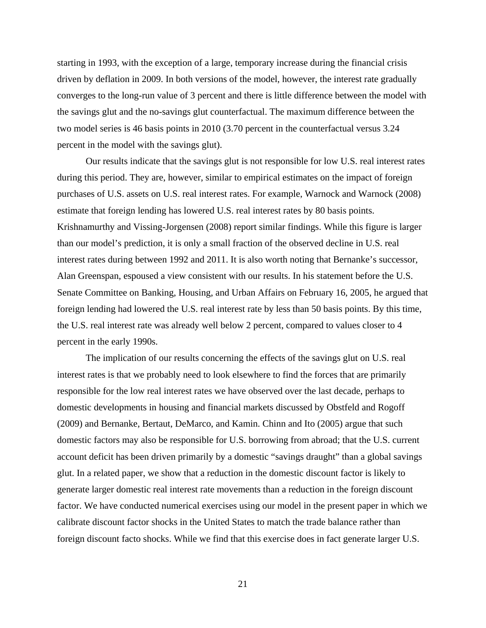starting in 1993, with the exception of a large, temporary increase during the financial crisis driven by deflation in 2009. In both versions of the model, however, the interest rate gradually converges to the long-run value of 3 percent and there is little difference between the model with the savings glut and the no-savings glut counterfactual. The maximum difference between the two model series is 46 basis points in 2010 (3.70 percent in the counterfactual versus 3.24 percent in the model with the savings glut).

Our results indicate that the savings glut is not responsible for low U.S. real interest rates during this period. They are, however, similar to empirical estimates on the impact of foreign purchases of U.S. assets on U.S. real interest rates. For example, Warnock and Warnock (2008) estimate that foreign lending has lowered U.S. real interest rates by 80 basis points. Krishnamurthy and Vissing-Jorgensen (2008) report similar findings. While this figure is larger than our model's prediction, it is only a small fraction of the observed decline in U.S. real interest rates during between 1992 and 2011. It is also worth noting that Bernanke's successor, Alan Greenspan, espoused a view consistent with our results. In his statement before the U.S. Senate Committee on Banking, Housing, and Urban Affairs on February 16, 2005, he argued that foreign lending had lowered the U.S. real interest rate by less than 50 basis points. By this time, the U.S. real interest rate was already well below 2 percent, compared to values closer to 4 percent in the early 1990s.

The implication of our results concerning the effects of the savings glut on U.S. real interest rates is that we probably need to look elsewhere to find the forces that are primarily responsible for the low real interest rates we have observed over the last decade, perhaps to domestic developments in housing and financial markets discussed by Obstfeld and Rogoff (2009) and Bernanke, Bertaut, DeMarco, and Kamin. Chinn and Ito (2005) argue that such domestic factors may also be responsible for U.S. borrowing from abroad; that the U.S. current account deficit has been driven primarily by a domestic "savings draught" than a global savings glut. In a related paper, we show that a reduction in the domestic discount factor is likely to generate larger domestic real interest rate movements than a reduction in the foreign discount factor. We have conducted numerical exercises using our model in the present paper in which we calibrate discount factor shocks in the United States to match the trade balance rather than foreign discount facto shocks. While we find that this exercise does in fact generate larger U.S.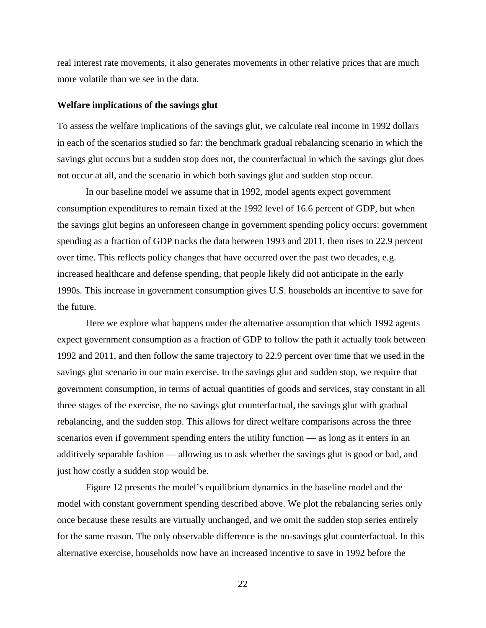real interest rate movements, it also generates movements in other relative prices that are much more volatile than we see in the data.

#### **Welfare implications of the savings glut**

To assess the welfare implications of the savings glut, we calculate real income in 1992 dollars in each of the scenarios studied so far: the benchmark gradual rebalancing scenario in which the savings glut occurs but a sudden stop does not, the counterfactual in which the savings glut does not occur at all, and the scenario in which both savings glut and sudden stop occur.

In our baseline model we assume that in 1992, model agents expect government consumption expenditures to remain fixed at the 1992 level of 16.6 percent of GDP, but when the savings glut begins an unforeseen change in government spending policy occurs: government spending as a fraction of GDP tracks the data between 1993 and 2011, then rises to 22.9 percent over time. This reflects policy changes that have occurred over the past two decades, e.g. increased healthcare and defense spending, that people likely did not anticipate in the early 1990s. This increase in government consumption gives U.S. households an incentive to save for the future.

Here we explore what happens under the alternative assumption that which 1992 agents expect government consumption as a fraction of GDP to follow the path it actually took between 1992 and 2011, and then follow the same trajectory to 22.9 percent over time that we used in the savings glut scenario in our main exercise. In the savings glut and sudden stop, we require that government consumption, in terms of actual quantities of goods and services, stay constant in all three stages of the exercise, the no savings glut counterfactual, the savings glut with gradual rebalancing, and the sudden stop. This allows for direct welfare comparisons across the three scenarios even if government spending enters the utility function — as long as it enters in an additively separable fashion — allowing us to ask whether the savings glut is good or bad, and just how costly a sudden stop would be.

Figure 12 presents the model's equilibrium dynamics in the baseline model and the model with constant government spending described above. We plot the rebalancing series only once because these results are virtually unchanged, and we omit the sudden stop series entirely for the same reason. The only observable difference is the no-savings glut counterfactual. In this alternative exercise, households now have an increased incentive to save in 1992 before the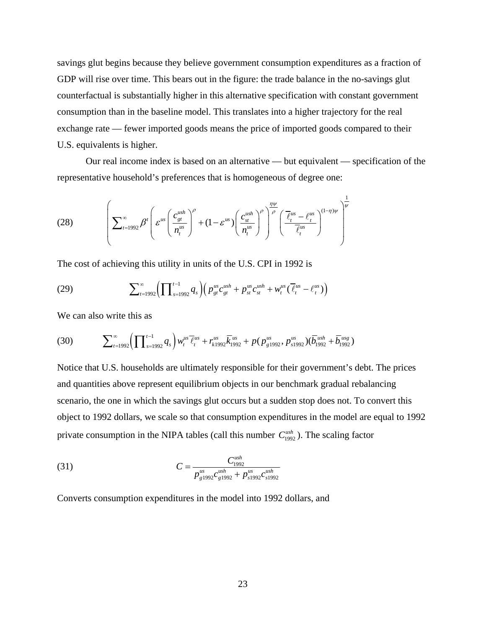savings glut begins because they believe government consumption expenditures as a fraction of GDP will rise over time. This bears out in the figure: the trade balance in the no-savings glut counterfactual is substantially higher in this alternative specification with constant government consumption than in the baseline model. This translates into a higher trajectory for the real exchange rate — fewer imported goods means the price of imported goods compared to their U.S. equivalents is higher.

Our real income index is based on an alternative — but equivalent — specification of the representative household's preferences that is homogeneous of degree one:

(28) 
$$
\left(\sum_{t=1992}^{\infty}\beta^{t}\left(\varepsilon^{us}\left(\frac{c_{gt}^{ush}}{n_{t}^{us}}\right)^{\rho}+(1-\varepsilon^{us})\left(\frac{c_{st}^{ush}}{n_{t}^{us}}\right)^{\rho}\right)^{\frac{\eta\psi}{\rho}}\left(\frac{\overline{\ell}_{t}^{us}-\ell_{t}^{us}}{\overline{\ell}_{t}^{us}}\right)^{(1-\eta)\psi}\right)^{\frac{1}{\psi}}
$$

The cost of achieving this utility in units of the U.S. CPI in 1992 is

(29) 
$$
\sum_{t=1992}^{\infty} \Biggl( \prod_{s=1992}^{t-1} q_s \Biggr) \Bigl( p_{gt}^{us} c_{gt}^{ush} + p_{st}^{us} c_{st}^{ush} + w_t^{us} (\bar{\ell}_t^{us} - \ell_t^{us}) \Bigr)
$$

We can also write this as

$$
(30) \qquad \sum_{t=1992}^{\infty} \left( \prod_{s=1992}^{t-1} q_s \right) w_t^{us} \overline{\ell}_t^{us} + r_{k1992}^{us} \overline{k}_{1992}^{us} + p (p_{g1992}^{us}, p_{s1992}^{us}) (\overline{b}_{1992}^{us} + \overline{b}_{1992}^{us})
$$

Notice that U.S. households are ultimately responsible for their government's debt. The prices and quantities above represent equilibrium objects in our benchmark gradual rebalancing scenario, the one in which the savings glut occurs but a sudden stop does not. To convert this object to 1992 dollars, we scale so that consumption expenditures in the model are equal to 1992 private consumption in the NIPA tables (call this number  $C_{1992}^{ush}$ ). The scaling factor

(31) 
$$
C = \frac{C_{1992}^{ush}}{p_{g1992}^{us}c_{g1992}^{ush} + p_{s1992}^{us}c_{s1992}^{ush}}
$$

Converts consumption expenditures in the model into 1992 dollars, and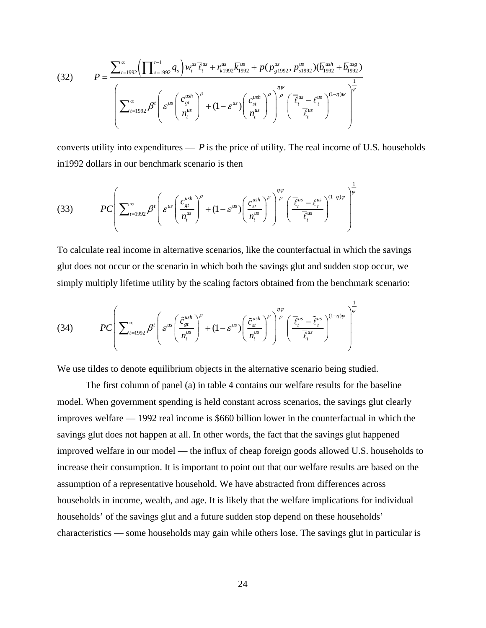(32) 
$$
P = \frac{\sum_{t=1992}^{\infty} \left( \prod_{s=1992}^{t-1} q_s \right) w_t^{us} \overline{\ell}_t^{us} + r_{k1992}^{us} \overline{k}_{1992}^{us} + p (p_{g1992}^{us}, p_{s1992}^{us}) (\overline{b}_{1992}^{us} + \overline{b}_{1992}^{us})}{\left( \sum_{t=1992}^{\infty} \beta^t \left( \varepsilon^{us} \left( \frac{c_{gt}^{ush}}{n_t^{us}} \right)^{\rho} + (1 - \varepsilon^{us}) \left( \frac{c_{st}^{ush}}{n_t^{us}} \right)^{\rho} \right)^{\frac{\eta \nu}{\rho}} \left( \frac{\overline{\ell}_t^{us} - \ell_t^{us}}{\overline{\ell}_t^{us}} \right)^{(1-\eta)\nu} \right)^{\frac{1}{\psi}}}
$$

converts utility into expenditures  $- P$  is the price of utility. The real income of U.S. households in1992 dollars in our benchmark scenario is then

$$
(33) \qquad PC\left(\sum_{t=1992}^{\infty}\beta^{t}\left(\varepsilon^{us}\left(\frac{c_{gt}^{ush}}{n_{t}^{us}}\right)^{\rho}+(1-\varepsilon^{us})\left(\frac{c_{st}^{ush}}{n_{t}^{us}}\right)^{\rho}\right)\right)\stackrel{\eta\psi}{\longrightarrow}\left(\frac{\overline{\ell}_{t}^{us}-\ell_{t}^{us}}{\overline{\ell}_{t}^{us}}\right)^{(1-\eta)\psi}\right)^{\frac{1}{\psi}}
$$

To calculate real income in alternative scenarios, like the counterfactual in which the savings glut does not occur or the scenario in which both the savings glut and sudden stop occur, we simply multiply lifetime utility by the scaling factors obtained from the benchmark scenario:

(34) 
$$
PC\left(\sum_{t=1992}^{\infty}\beta^{t}\left(\varepsilon^{us}\left(\frac{\tilde{c}_{gt}^{ush}}{n_{t}^{us}}\right)^{\rho}+(1-\varepsilon^{us})\left(\frac{\tilde{c}_{st}^{ush}}{n_{t}^{us}}\right)^{\rho}\right)\right)\frac{\eta\psi}{\rho}\left(\frac{\overline{\ell}_{t}^{us}-\tilde{\ell}_{t}^{us}}{\overline{\ell}_{t}^{us}}\right)^{(1-\eta)\psi}\right)^{\frac{1}{\psi}}
$$

We use tildes to denote equilibrium objects in the alternative scenario being studied.

 The first column of panel (a) in table 4 contains our welfare results for the baseline model. When government spending is held constant across scenarios, the savings glut clearly improves welfare — 1992 real income is \$660 billion lower in the counterfactual in which the savings glut does not happen at all. In other words, the fact that the savings glut happened improved welfare in our model — the influx of cheap foreign goods allowed U.S. households to increase their consumption. It is important to point out that our welfare results are based on the assumption of a representative household. We have abstracted from differences across households in income, wealth, and age. It is likely that the welfare implications for individual households' of the savings glut and a future sudden stop depend on these households' characteristics — some households may gain while others lose. The savings glut in particular is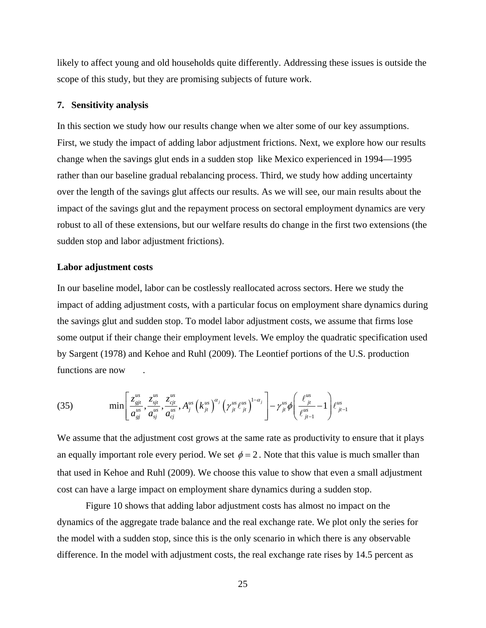likely to affect young and old households quite differently. Addressing these issues is outside the scope of this study, but they are promising subjects of future work.

#### **7. Sensitivity analysis**

In this section we study how our results change when we alter some of our key assumptions. First, we study the impact of adding labor adjustment frictions. Next, we explore how our results change when the savings glut ends in a sudden stop like Mexico experienced in 1994—1995 rather than our baseline gradual rebalancing process. Third, we study how adding uncertainty over the length of the savings glut affects our results. As we will see, our main results about the impact of the savings glut and the repayment process on sectoral employment dynamics are very robust to all of these extensions, but our welfare results do change in the first two extensions (the sudden stop and labor adjustment frictions).

#### **Labor adjustment costs**

In our baseline model, labor can be costlessly reallocated across sectors. Here we study the impact of adding adjustment costs, with a particular focus on employment share dynamics during the savings glut and sudden stop. To model labor adjustment costs, we assume that firms lose some output if their change their employment levels. We employ the quadratic specification used by Sargent (1978) and Kehoe and Ruhl (2009). The Leontief portions of the U.S. production functions are now .

(35) 
$$
\min \left[ \frac{z_{gj}^{us}}{a_{gj}^{us}}, \frac{z_{gj}^{us}}{a_{gj}^{us}}, \frac{z_{cjt}^{us}}{a_{cj}^{us}}, A_j^{us} (k_{jt}^{us})^{\alpha_j} ( \gamma_{jt}^{us} \ell_{jt}^{us} )^{1-\alpha_j} \right] - \gamma_{jt}^{us} \phi \left( \frac{\ell_{jt}^{us}}{\ell_{jt-1}^{us}} - 1 \right) \ell_{jt-1}^{us}
$$

We assume that the adjustment cost grows at the same rate as productivity to ensure that it plays an equally important role every period. We set  $\phi = 2$ . Note that this value is much smaller than that used in Kehoe and Ruhl (2009). We choose this value to show that even a small adjustment cost can have a large impact on employment share dynamics during a sudden stop.

 Figure 10 shows that adding labor adjustment costs has almost no impact on the dynamics of the aggregate trade balance and the real exchange rate. We plot only the series for the model with a sudden stop, since this is the only scenario in which there is any observable difference. In the model with adjustment costs, the real exchange rate rises by 14.5 percent as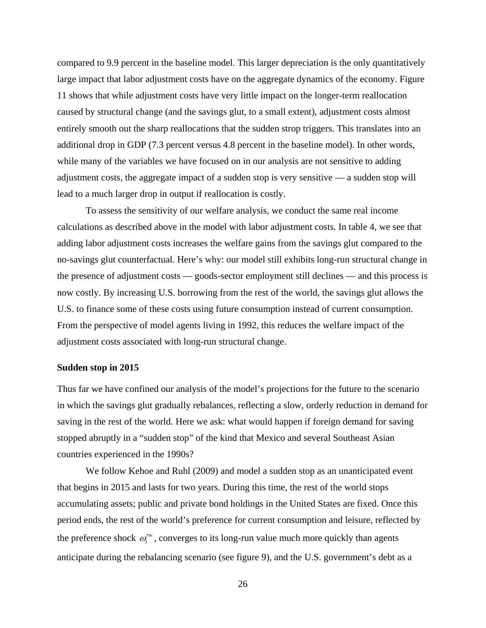compared to 9.9 percent in the baseline model. This larger depreciation is the only quantitatively large impact that labor adjustment costs have on the aggregate dynamics of the economy. Figure 11 shows that while adjustment costs have very little impact on the longer-term reallocation caused by structural change (and the savings glut, to a small extent), adjustment costs almost entirely smooth out the sharp reallocations that the sudden strop triggers. This translates into an additional drop in GDP (7.3 percent versus 4.8 percent in the baseline model). In other words, while many of the variables we have focused on in our analysis are not sensitive to adding adjustment costs, the aggregate impact of a sudden stop is very sensitive — a sudden stop will lead to a much larger drop in output if reallocation is costly.

 To assess the sensitivity of our welfare analysis, we conduct the same real income calculations as described above in the model with labor adjustment costs. In table 4, we see that adding labor adjustment costs increases the welfare gains from the savings glut compared to the no-savings glut counterfactual. Here's why: our model still exhibits long-run structural change in the presence of adjustment costs — goods-sector employment still declines — and this process is now costly. By increasing U.S. borrowing from the rest of the world, the savings glut allows the U.S. to finance some of these costs using future consumption instead of current consumption. From the perspective of model agents living in 1992, this reduces the welfare impact of the adjustment costs associated with long-run structural change.

#### **Sudden stop in 2015**

Thus far we have confined our analysis of the model's projections for the future to the scenario in which the savings glut gradually rebalances, reflecting a slow, orderly reduction in demand for saving in the rest of the world. Here we ask: what would happen if foreign demand for saving stopped abruptly in a "sudden stop" of the kind that Mexico and several Southeast Asian countries experienced in the 1990s?

We follow Kehoe and Ruhl (2009) and model a sudden stop as an unanticipated event that begins in 2015 and lasts for two years. During this time, the rest of the world stops accumulating assets; public and private bond holdings in the United States are fixed. Once this period ends, the rest of the world's preference for current consumption and leisure, reflected by the preference shock  $\omega_t^{\prime\prime\prime}$ , converges to its long-run value much more quickly than agents anticipate during the rebalancing scenario (see figure 9), and the U.S. government's debt as a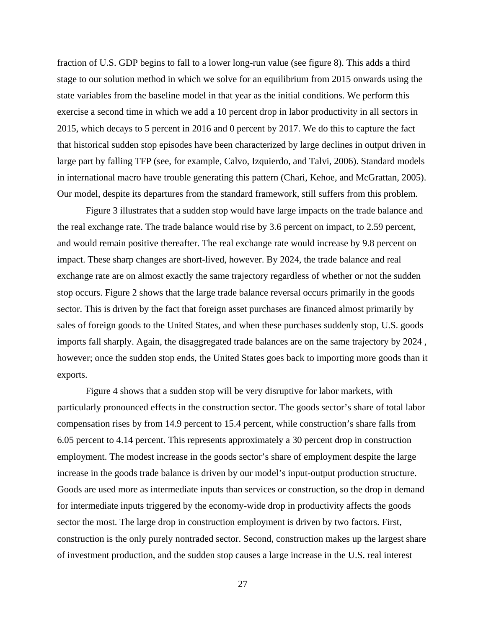fraction of U.S. GDP begins to fall to a lower long-run value (see figure 8). This adds a third stage to our solution method in which we solve for an equilibrium from 2015 onwards using the state variables from the baseline model in that year as the initial conditions. We perform this exercise a second time in which we add a 10 percent drop in labor productivity in all sectors in 2015, which decays to 5 percent in 2016 and 0 percent by 2017. We do this to capture the fact that historical sudden stop episodes have been characterized by large declines in output driven in large part by falling TFP (see, for example, Calvo, Izquierdo, and Talvi, 2006). Standard models in international macro have trouble generating this pattern (Chari, Kehoe, and McGrattan, 2005). Our model, despite its departures from the standard framework, still suffers from this problem.

 Figure 3 illustrates that a sudden stop would have large impacts on the trade balance and the real exchange rate. The trade balance would rise by 3.6 percent on impact, to 2.59 percent, and would remain positive thereafter. The real exchange rate would increase by 9.8 percent on impact. These sharp changes are short-lived, however. By 2024, the trade balance and real exchange rate are on almost exactly the same trajectory regardless of whether or not the sudden stop occurs. Figure 2 shows that the large trade balance reversal occurs primarily in the goods sector. This is driven by the fact that foreign asset purchases are financed almost primarily by sales of foreign goods to the United States, and when these purchases suddenly stop, U.S. goods imports fall sharply. Again, the disaggregated trade balances are on the same trajectory by 2024 , however; once the sudden stop ends, the United States goes back to importing more goods than it exports.

 Figure 4 shows that a sudden stop will be very disruptive for labor markets, with particularly pronounced effects in the construction sector. The goods sector's share of total labor compensation rises by from 14.9 percent to 15.4 percent, while construction's share falls from 6.05 percent to 4.14 percent. This represents approximately a 30 percent drop in construction employment. The modest increase in the goods sector's share of employment despite the large increase in the goods trade balance is driven by our model's input-output production structure. Goods are used more as intermediate inputs than services or construction, so the drop in demand for intermediate inputs triggered by the economy-wide drop in productivity affects the goods sector the most. The large drop in construction employment is driven by two factors. First, construction is the only purely nontraded sector. Second, construction makes up the largest share of investment production, and the sudden stop causes a large increase in the U.S. real interest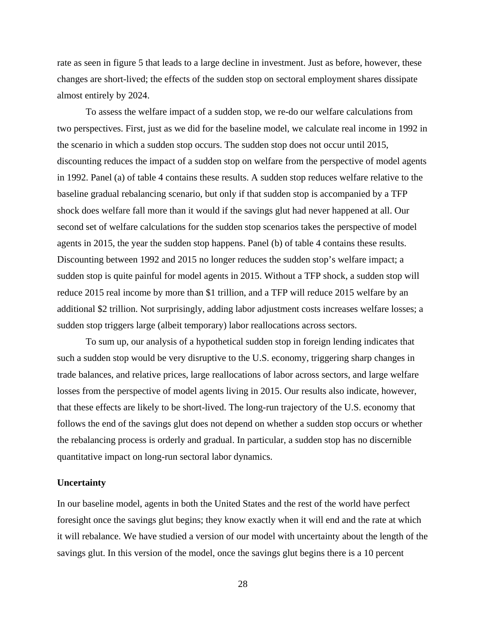rate as seen in figure 5 that leads to a large decline in investment. Just as before, however, these changes are short-lived; the effects of the sudden stop on sectoral employment shares dissipate almost entirely by 2024.

 To assess the welfare impact of a sudden stop, we re-do our welfare calculations from two perspectives. First, just as we did for the baseline model, we calculate real income in 1992 in the scenario in which a sudden stop occurs. The sudden stop does not occur until 2015, discounting reduces the impact of a sudden stop on welfare from the perspective of model agents in 1992. Panel (a) of table 4 contains these results. A sudden stop reduces welfare relative to the baseline gradual rebalancing scenario, but only if that sudden stop is accompanied by a TFP shock does welfare fall more than it would if the savings glut had never happened at all. Our second set of welfare calculations for the sudden stop scenarios takes the perspective of model agents in 2015, the year the sudden stop happens. Panel (b) of table 4 contains these results. Discounting between 1992 and 2015 no longer reduces the sudden stop's welfare impact; a sudden stop is quite painful for model agents in 2015. Without a TFP shock, a sudden stop will reduce 2015 real income by more than \$1 trillion, and a TFP will reduce 2015 welfare by an additional \$2 trillion. Not surprisingly, adding labor adjustment costs increases welfare losses; a sudden stop triggers large (albeit temporary) labor reallocations across sectors.

 To sum up, our analysis of a hypothetical sudden stop in foreign lending indicates that such a sudden stop would be very disruptive to the U.S. economy, triggering sharp changes in trade balances, and relative prices, large reallocations of labor across sectors, and large welfare losses from the perspective of model agents living in 2015. Our results also indicate, however, that these effects are likely to be short-lived. The long-run trajectory of the U.S. economy that follows the end of the savings glut does not depend on whether a sudden stop occurs or whether the rebalancing process is orderly and gradual. In particular, a sudden stop has no discernible quantitative impact on long-run sectoral labor dynamics.

#### **Uncertainty**

In our baseline model, agents in both the United States and the rest of the world have perfect foresight once the savings glut begins; they know exactly when it will end and the rate at which it will rebalance. We have studied a version of our model with uncertainty about the length of the savings glut. In this version of the model, once the savings glut begins there is a 10 percent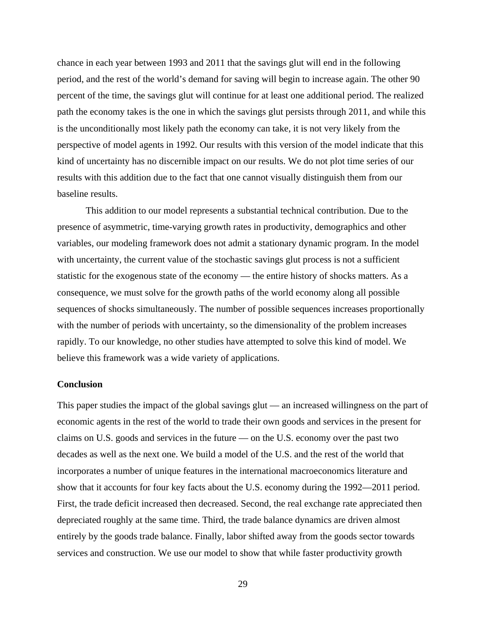chance in each year between 1993 and 2011 that the savings glut will end in the following period, and the rest of the world's demand for saving will begin to increase again. The other 90 percent of the time, the savings glut will continue for at least one additional period. The realized path the economy takes is the one in which the savings glut persists through 2011, and while this is the unconditionally most likely path the economy can take, it is not very likely from the perspective of model agents in 1992. Our results with this version of the model indicate that this kind of uncertainty has no discernible impact on our results. We do not plot time series of our results with this addition due to the fact that one cannot visually distinguish them from our baseline results.

 This addition to our model represents a substantial technical contribution. Due to the presence of asymmetric, time-varying growth rates in productivity, demographics and other variables, our modeling framework does not admit a stationary dynamic program. In the model with uncertainty, the current value of the stochastic savings glut process is not a sufficient statistic for the exogenous state of the economy — the entire history of shocks matters. As a consequence, we must solve for the growth paths of the world economy along all possible sequences of shocks simultaneously. The number of possible sequences increases proportionally with the number of periods with uncertainty, so the dimensionality of the problem increases rapidly. To our knowledge, no other studies have attempted to solve this kind of model. We believe this framework was a wide variety of applications.

#### **Conclusion**

This paper studies the impact of the global savings glut — an increased willingness on the part of economic agents in the rest of the world to trade their own goods and services in the present for claims on U.S. goods and services in the future — on the U.S. economy over the past two decades as well as the next one. We build a model of the U.S. and the rest of the world that incorporates a number of unique features in the international macroeconomics literature and show that it accounts for four key facts about the U.S. economy during the 1992—2011 period. First, the trade deficit increased then decreased. Second, the real exchange rate appreciated then depreciated roughly at the same time. Third, the trade balance dynamics are driven almost entirely by the goods trade balance. Finally, labor shifted away from the goods sector towards services and construction. We use our model to show that while faster productivity growth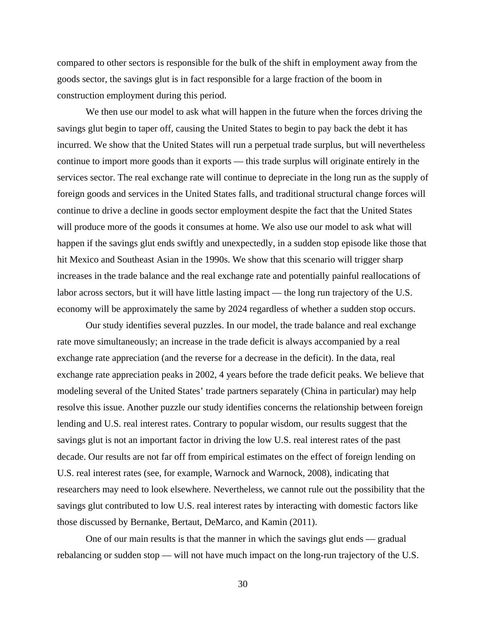compared to other sectors is responsible for the bulk of the shift in employment away from the goods sector, the savings glut is in fact responsible for a large fraction of the boom in construction employment during this period.

We then use our model to ask what will happen in the future when the forces driving the savings glut begin to taper off, causing the United States to begin to pay back the debt it has incurred. We show that the United States will run a perpetual trade surplus, but will nevertheless continue to import more goods than it exports — this trade surplus will originate entirely in the services sector. The real exchange rate will continue to depreciate in the long run as the supply of foreign goods and services in the United States falls, and traditional structural change forces will continue to drive a decline in goods sector employment despite the fact that the United States will produce more of the goods it consumes at home. We also use our model to ask what will happen if the savings glut ends swiftly and unexpectedly, in a sudden stop episode like those that hit Mexico and Southeast Asian in the 1990s. We show that this scenario will trigger sharp increases in the trade balance and the real exchange rate and potentially painful reallocations of labor across sectors, but it will have little lasting impact — the long run trajectory of the U.S. economy will be approximately the same by 2024 regardless of whether a sudden stop occurs.

Our study identifies several puzzles. In our model, the trade balance and real exchange rate move simultaneously; an increase in the trade deficit is always accompanied by a real exchange rate appreciation (and the reverse for a decrease in the deficit). In the data, real exchange rate appreciation peaks in 2002, 4 years before the trade deficit peaks. We believe that modeling several of the United States' trade partners separately (China in particular) may help resolve this issue. Another puzzle our study identifies concerns the relationship between foreign lending and U.S. real interest rates. Contrary to popular wisdom, our results suggest that the savings glut is not an important factor in driving the low U.S. real interest rates of the past decade. Our results are not far off from empirical estimates on the effect of foreign lending on U.S. real interest rates (see, for example, Warnock and Warnock, 2008), indicating that researchers may need to look elsewhere. Nevertheless, we cannot rule out the possibility that the savings glut contributed to low U.S. real interest rates by interacting with domestic factors like those discussed by Bernanke, Bertaut, DeMarco, and Kamin (2011).

One of our main results is that the manner in which the savings glut ends — gradual rebalancing or sudden stop — will not have much impact on the long-run trajectory of the U.S.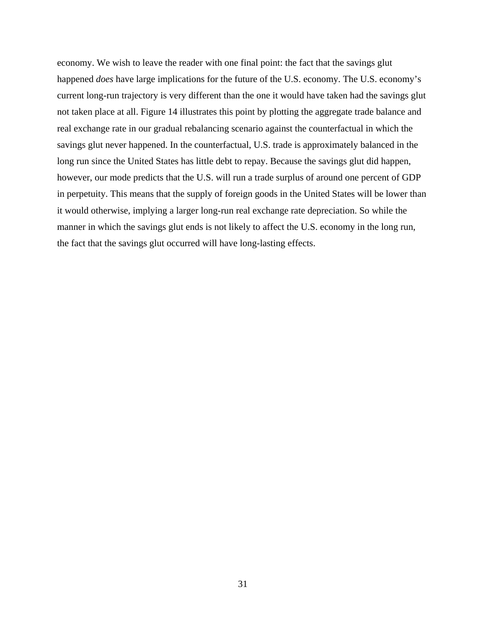economy. We wish to leave the reader with one final point: the fact that the savings glut happened *does* have large implications for the future of the U.S. economy. The U.S. economy's current long-run trajectory is very different than the one it would have taken had the savings glut not taken place at all. Figure 14 illustrates this point by plotting the aggregate trade balance and real exchange rate in our gradual rebalancing scenario against the counterfactual in which the savings glut never happened. In the counterfactual, U.S. trade is approximately balanced in the long run since the United States has little debt to repay. Because the savings glut did happen, however, our mode predicts that the U.S. will run a trade surplus of around one percent of GDP in perpetuity. This means that the supply of foreign goods in the United States will be lower than it would otherwise, implying a larger long-run real exchange rate depreciation. So while the manner in which the savings glut ends is not likely to affect the U.S. economy in the long run, the fact that the savings glut occurred will have long-lasting effects.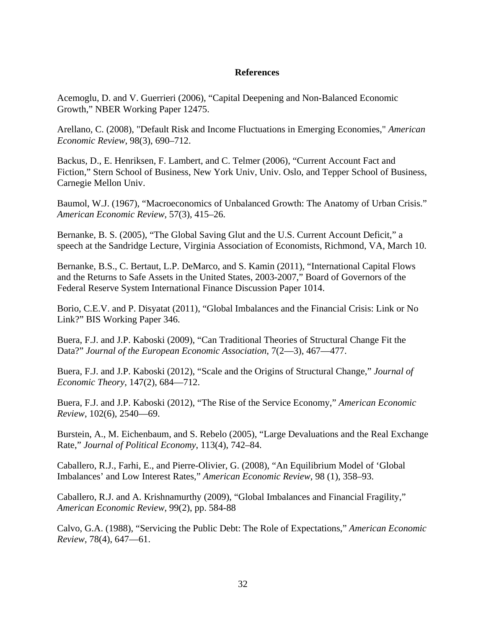## **References**

Acemoglu, D. and V. Guerrieri (2006), "Capital Deepening and Non-Balanced Economic Growth," NBER Working Paper 12475.

Arellano, C. (2008), "Default Risk and Income Fluctuations in Emerging Economies," *American Economic Review*, 98(3), 690–712.

Backus, D., E. Henriksen, F. Lambert, and C. Telmer (2006), "Current Account Fact and Fiction," Stern School of Business, New York Univ, Univ. Oslo, and Tepper School of Business, Carnegie Mellon Univ.

Baumol, W.J. (1967), "Macroeconomics of Unbalanced Growth: The Anatomy of Urban Crisis." *American Economic Review*, 57(3), 415–26.

Bernanke, B. S. (2005), "The Global Saving Glut and the U.S. Current Account Deficit," a speech at the Sandridge Lecture, Virginia Association of Economists, Richmond, VA, March 10.

Bernanke, B.S., C. Bertaut, L.P. DeMarco, and S. Kamin (2011), "International Capital Flows and the Returns to Safe Assets in the United States, 2003-2007," Board of Governors of the Federal Reserve System International Finance Discussion Paper 1014.

Borio, C.E.V. and P. Disyatat (2011), "Global Imbalances and the Financial Crisis: Link or No Link?" BIS Working Paper 346.

Buera, F.J. and J.P. Kaboski (2009), "Can Traditional Theories of Structural Change Fit the Data?" *Journal of the European Economic Association*, 7(2—3), 467—477.

Buera, F.J. and J.P. Kaboski (2012), "Scale and the Origins of Structural Change," *Journal of Economic Theory*, 147(2), 684—712.

Buera, F.J. and J.P. Kaboski (2012), "The Rise of the Service Economy," *American Economic Review*, 102(6), 2540—69.

Burstein, A., M. Eichenbaum, and S. Rebelo (2005), "Large Devaluations and the Real Exchange Rate," *Journal of Political Economy*, 113(4), 742–84.

Caballero, R.J., Farhi, E., and Pierre-Olivier, G. (2008), "An Equilibrium Model of 'Global Imbalances' and Low Interest Rates," *American Economic Review*, 98 (1), 358–93.

Caballero, R.J. and A. Krishnamurthy (2009), "Global Imbalances and Financial Fragility," *American Economic Review*, 99(2), pp. 584-88

Calvo, G.A. (1988), "Servicing the Public Debt: The Role of Expectations," *American Economic Review*, 78(4), 647—61.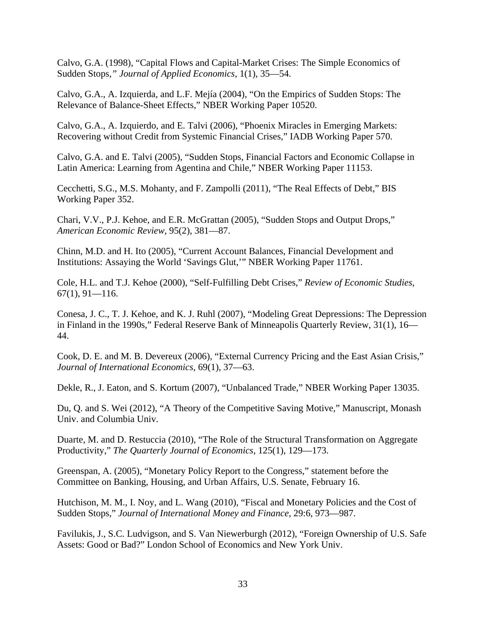Calvo, G.A. (1998), "Capital Flows and Capital-Market Crises: The Simple Economics of Sudden Stops*," Journal of Applied Economics*, 1(1), 35—54.

Calvo, G.A., A. Izquierda, and L.F. Mejía (2004), "On the Empirics of Sudden Stops: The Relevance of Balance-Sheet Effects," NBER Working Paper 10520.

Calvo, G.A., A. Izquierdo, and E. Talvi (2006), "Phoenix Miracles in Emerging Markets: Recovering without Credit from Systemic Financial Crises," IADB Working Paper 570.

Calvo, G.A. and E. Talvi (2005), "Sudden Stops, Financial Factors and Economic Collapse in Latin America: Learning from Agentina and Chile," NBER Working Paper 11153.

Cecchetti, S.G., M.S. Mohanty, and F. Zampolli (2011), "The Real Effects of Debt," BIS Working Paper 352.

Chari, V.V., P.J. Kehoe, and E.R. McGrattan (2005), "Sudden Stops and Output Drops," *American Economic Review*, 95(2), 381—87.

Chinn, M.D. and H. Ito (2005), "Current Account Balances, Financial Development and Institutions: Assaying the World 'Savings Glut,'" NBER Working Paper 11761.

Cole, H.L. and T.J. Kehoe (2000), "Self-Fulfilling Debt Crises," *Review of Economic Studies*,  $67(1)$ , 91-116.

Conesa, J. C., T. J. Kehoe, and K. J. Ruhl (2007), "Modeling Great Depressions: The Depression in Finland in the 1990s," Federal Reserve Bank of Minneapolis Quarterly Review, 31(1), 16— 44.

Cook, D. E. and M. B. Devereux (2006), "External Currency Pricing and the East Asian Crisis," *Journal of International Economics*, 69(1), 37—63.

Dekle, R., J. Eaton, and S. Kortum (2007), "Unbalanced Trade," NBER Working Paper 13035.

Du, Q. and S. Wei (2012), "A Theory of the Competitive Saving Motive," Manuscript, Monash Univ. and Columbia Univ.

Duarte, M. and D. Restuccia (2010), "The Role of the Structural Transformation on Aggregate Productivity," *The Quarterly Journal of Economics*, 125(1), 129—173.

Greenspan, A. (2005), "Monetary Policy Report to the Congress," statement before the Committee on Banking, Housing, and Urban Affairs, U.S. Senate, February 16.

Hutchison, M. M., I. Noy, and L. Wang (2010), "Fiscal and Monetary Policies and the Cost of Sudden Stops," *Journal of International Money and Finance*, 29:6, 973—987.

Favilukis, J., S.C. Ludvigson, and S. Van Niewerburgh (2012), "Foreign Ownership of U.S. Safe Assets: Good or Bad?" London School of Economics and New York Univ.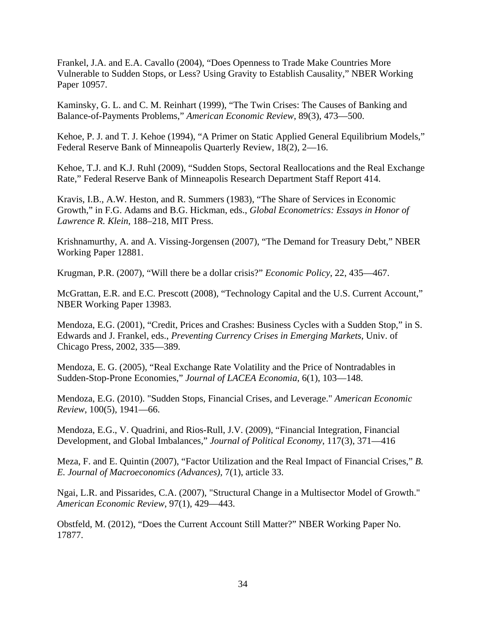Frankel, J.A. and E.A. Cavallo (2004), "Does Openness to Trade Make Countries More Vulnerable to Sudden Stops, or Less? Using Gravity to Establish Causality," NBER Working Paper 10957.

Kaminsky, G. L. and C. M. Reinhart (1999), "The Twin Crises: The Causes of Banking and Balance-of-Payments Problems," *American Economic Review*, 89(3), 473—500.

Kehoe, P. J. and T. J. Kehoe (1994), "A Primer on Static Applied General Equilibrium Models," Federal Reserve Bank of Minneapolis Quarterly Review, 18(2), 2—16.

Kehoe, T.J. and K.J. Ruhl (2009), "Sudden Stops, Sectoral Reallocations and the Real Exchange Rate," Federal Reserve Bank of Minneapolis Research Department Staff Report 414.

Kravis, I.B., A.W. Heston, and R. Summers (1983), "The Share of Services in Economic Growth," in F.G. Adams and B.G. Hickman, eds., *Global Econometrics: Essays in Honor of Lawrence R. Klein*, 188–218, MIT Press.

Krishnamurthy, A. and A. Vissing-Jorgensen (2007), "The Demand for Treasury Debt," NBER Working Paper 12881.

Krugman, P.R. (2007), "Will there be a dollar crisis?" *Economic Policy*, 22, 435—467.

McGrattan, E.R. and E.C. Prescott (2008), "Technology Capital and the U.S. Current Account," NBER Working Paper 13983.

Mendoza, E.G. (2001), "Credit, Prices and Crashes: Business Cycles with a Sudden Stop," in S. Edwards and J. Frankel, eds., *Preventing Currency Crises in Emerging Markets*, Univ. of Chicago Press, 2002, 335—389.

Mendoza, E. G. (2005), "Real Exchange Rate Volatility and the Price of Nontradables in Sudden-Stop-Prone Economies," *Journal of LACEA Economia*, 6(1), 103—148.

Mendoza, E.G. (2010). "Sudden Stops, Financial Crises, and Leverage." *American Economic Review*, 100(5), 1941—66.

Mendoza, E.G., V. Quadrini, and Rios-Rull, J.V. (2009), "Financial Integration, Financial Development, and Global Imbalances," *Journal of Political Economy*, 117(3), 371—416

Meza, F. and E. Quintin (2007), "Factor Utilization and the Real Impact of Financial Crises," *B. E. Journal of Macroeconomics (Advances),* 7(1), article 33.

Ngai, L.R. and Pissarides, C.A. (2007), "Structural Change in a Multisector Model of Growth." *American Economic Review*, 97(1), 429—443.

Obstfeld, M. (2012), "Does the Current Account Still Matter?" NBER Working Paper No. 17877.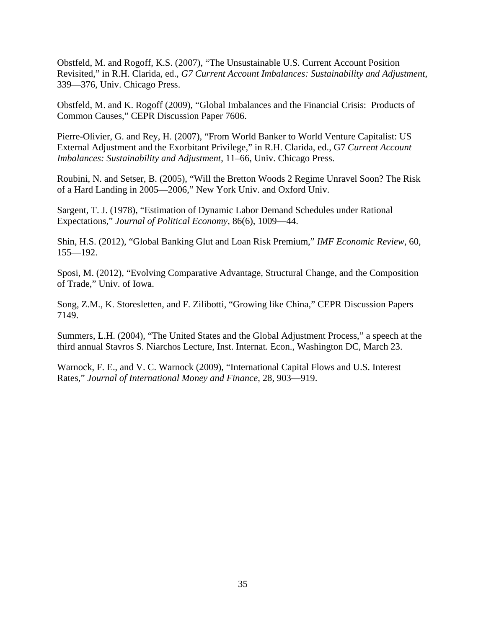Obstfeld, M. and Rogoff, K.S. (2007), "The Unsustainable U.S. Current Account Position Revisited," in R.H. Clarida, ed., *G7 Current Account Imbalances: Sustainability and Adjustment*, 339—376, Univ. Chicago Press.

Obstfeld, M. and K. Rogoff (2009), "Global Imbalances and the Financial Crisis: Products of Common Causes," CEPR Discussion Paper 7606.

Pierre-Olivier, G. and Rey, H. (2007), "From World Banker to World Venture Capitalist: US External Adjustment and the Exorbitant Privilege," in R.H. Clarida, ed., G7 *Current Account Imbalances: Sustainability and Adjustment*, 11–66, Univ. Chicago Press.

Roubini, N. and Setser, B. (2005), "Will the Bretton Woods 2 Regime Unravel Soon? The Risk of a Hard Landing in 2005—2006," New York Univ. and Oxford Univ.

Sargent, T. J. (1978), "Estimation of Dynamic Labor Demand Schedules under Rational Expectations," *Journal of Political Economy*, 86(6), 1009—44.

Shin, H.S. (2012), "Global Banking Glut and Loan Risk Premium," *IMF Economic Review*, 60, 155—192.

Sposi, M. (2012), "Evolving Comparative Advantage, Structural Change, and the Composition of Trade," Univ. of Iowa.

Song, Z.M., K. Storesletten, and F. Zilibotti, "Growing like China," CEPR Discussion Papers 7149.

Summers, L.H. (2004), "The United States and the Global Adjustment Process," a speech at the third annual Stavros S. Niarchos Lecture, Inst. Internat. Econ., Washington DC, March 23.

Warnock, F. E., and V. C. Warnock (2009), "International Capital Flows and U.S. Interest Rates," *Journal of International Money and Finance*, 28, 903—919.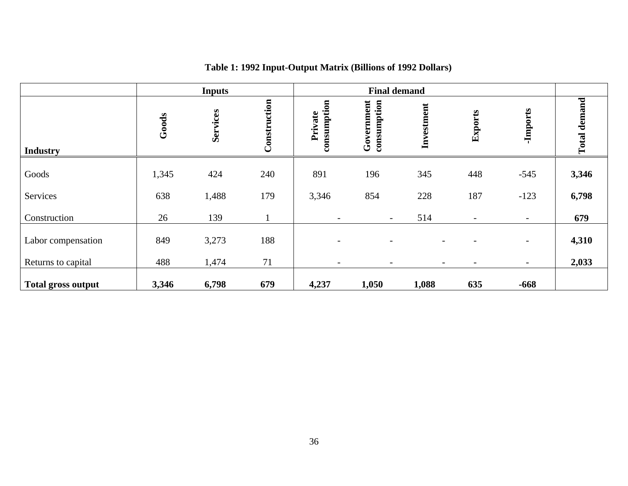|                           |       | <b>Inputs</b> |              |                          | <b>Final demand</b>       |            |         |                          |              |
|---------------------------|-------|---------------|--------------|--------------------------|---------------------------|------------|---------|--------------------------|--------------|
| <b>Industry</b>           | Goods | Services      | Construction | consumption<br>Private   | Government<br>consumption | Investment | Exports | -Imports                 | Total demand |
| Goods                     | 1,345 | 424           | 240          | 891                      | 196                       | 345        | 448     | $-545$                   | 3,346        |
| Services                  | 638   | 1,488         | 179          | 3,346                    | 854                       | 228        | 187     | $-123$                   | 6,798        |
| Construction              | 26    | 139           |              | $\overline{\phantom{a}}$ |                           | 514        |         | $\overline{\phantom{0}}$ | 679          |
| Labor compensation        | 849   | 3,273         | 188          | $\overline{\phantom{a}}$ |                           |            |         | $\overline{\phantom{a}}$ | 4,310        |
| Returns to capital        | 488   | 1,474         | 71           | $\overline{\phantom{a}}$ |                           |            |         | $\overline{\phantom{a}}$ | 2,033        |
| <b>Total gross output</b> | 3,346 | 6,798         | 679          | 4,237                    | 1,050                     | 1,088      | 635     | $-668$                   |              |

# **Table 1: 1992 Input-Output Matrix (Billions of 1992 Dollars)**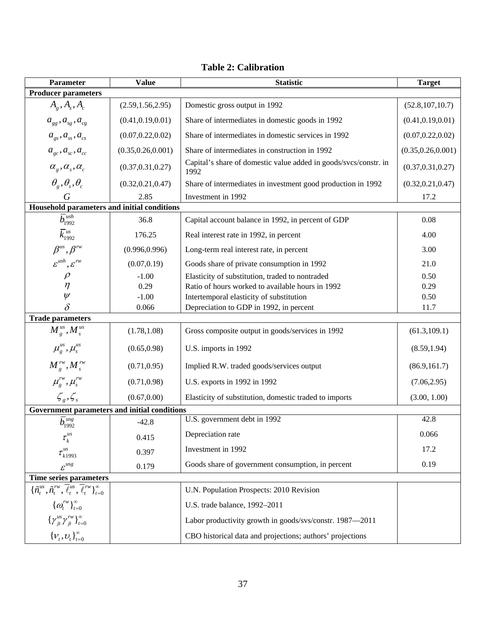| <b>Value</b><br><b>Parameter</b>                                                                      |                                                                        | <b>Statistic</b>                                                         | <b>Target</b>       |
|-------------------------------------------------------------------------------------------------------|------------------------------------------------------------------------|--------------------------------------------------------------------------|---------------------|
| <b>Producer parameters</b>                                                                            |                                                                        |                                                                          |                     |
| $A_g$ , $A_s$ , $A_c$                                                                                 | (2.59, 1.56, 2.95)                                                     | Domestic gross output in 1992                                            | (52.8, 107, 10.7)   |
| $a_{_{gg}}, a_{_{sg}}, a_{_{cg}}$                                                                     | (0.41, 0.19, 0.01)                                                     | Share of intermediates in domestic goods in 1992                         | (0.41, 0.19, 0.01)  |
| $a_{\rm \scriptscriptstyle gs}, a_{\rm \scriptscriptstyle ss}, a_{\rm \scriptscriptstyle cs}$         | (0.07, 0.22, 0.02)                                                     | Share of intermediates in domestic services in 1992                      | (0.07, 0.22, 0.02)  |
| $a_{sc}$ , $a_{sc}$ , $a_{cc}$                                                                        | (0.35, 0.26, 0.001)                                                    | Share of intermediates in construction in 1992                           | (0.35, 0.26, 0.001) |
| $\alpha_{g}, \alpha_{s}, \alpha_{c}$                                                                  | (0.37, 0.31, 0.27)                                                     | Capital's share of domestic value added in goods/svcs/constr. in<br>1992 | (0.37, 0.31, 0.27)  |
| $\theta_{\scriptscriptstyle g}, \theta_{\scriptscriptstyle s}, \theta_{\scriptscriptstyle c}$         | (0.32, 0.21, 0.47)                                                     | Share of intermediates in investment good production in 1992             | (0.32, 0.21, 0.47)  |
| G                                                                                                     | 2.85                                                                   | Investment in 1992                                                       | 17.2                |
| Household parameters and initial conditions                                                           |                                                                        |                                                                          |                     |
| $\overline{b}_{1992}^{\scriptscriptstyle{ush}}$                                                       | 36.8                                                                   | Capital account balance in 1992, in percent of GDP                       | 0.08                |
| $\overline{k}_{1992}^{us}$                                                                            | 176.25                                                                 | Real interest rate in 1992, in percent                                   | 4.00                |
| $\beta^{us}, \beta^{rw}$                                                                              | (0.996, 0.996)                                                         | Long-term real interest rate, in percent                                 | 3.00                |
| $\varepsilon^{ush}, \varepsilon^{rw}$                                                                 | (0.07, 0.19)                                                           | Goods share of private consumption in 1992                               | 21.0                |
| $\rho$                                                                                                | $-1.00$                                                                | Elasticity of substitution, traded to nontraded                          | 0.50                |
| $\eta$                                                                                                | 0.29                                                                   | Ratio of hours worked to available hours in 1992                         | 0.29                |
| $\psi$                                                                                                | $-1.00$                                                                | Intertemporal elasticity of substitution                                 | 0.50                |
| $\delta$                                                                                              | 0.066                                                                  | Depreciation to GDP in 1992, in percent                                  | 11.7                |
| <b>Trade parameters</b>                                                                               |                                                                        |                                                                          |                     |
| $M_{g}^{us}$ , $M_{s}^{us}$                                                                           | (1.78, 1.08)                                                           | Gross composite output in goods/services in 1992                         | (61.3, 109.1)       |
| $\mu_{g}^{us}, \mu_{s}^{us}$                                                                          | (0.65, 0.98)                                                           | U.S. imports in 1992                                                     | (8.59, 1.94)        |
| $M_s^{\rm rw}, M_s^{\rm rw}$                                                                          | (0.71, 0.95)                                                           | Implied R.W. traded goods/services output                                | (86.9, 161.7)       |
| $\mu_s^{rw}, \mu_s^{rw}$                                                                              | (0.71, 0.98)                                                           | U.S. exports in 1992 in 1992                                             | (7.06, 2.95)        |
| $\zeta_s, \zeta_s$                                                                                    | Elasticity of substitution, domestic traded to imports<br>(0.67, 0.00) |                                                                          | (3.00, 1.00)        |
| Government parameters and initial conditions                                                          |                                                                        |                                                                          |                     |
| $\overline{b}_{1992}^{usg}$                                                                           | $-42.8$                                                                | U.S. government debt in 1992                                             | 42.8                |
| $\tau_k^{us}$                                                                                         | 0.415                                                                  | Depreciation rate                                                        | 0.066               |
| $\tau_{k1993}^{us}$                                                                                   | 0.397                                                                  | Investment in 1992                                                       | 17.2                |
| $\varepsilon^{usg}$                                                                                   | 0.179                                                                  | Goods share of government consumption, in percent                        | 0.19                |
| Time series parameters                                                                                |                                                                        |                                                                          |                     |
| $\{\tilde{n}^{us}_t, \tilde{n}^{rw}_t, \overline{\ell}^{us}_t, \overline{\ell}^{rw}_t\}_{t=0}^\infty$ |                                                                        | U.N. Population Prospects: 2010 Revision                                 |                     |
| $\{\omega_t^{rw}\}_{t=0}^{\infty}$                                                                    |                                                                        | U.S. trade balance, 1992-2011                                            |                     |
| $\left\{\gamma^{us}_{jt}\gamma^{rw}_{jt}\right\}^{\infty}_{t=0}$                                      |                                                                        | Labor productivity growth in goods/svs/constr. 1987-2011                 |                     |
| $\left\{V_t, U_t\right\}_{t=0}^\infty$                                                                |                                                                        | CBO historical data and projections; authors' projections                |                     |

# **Table 2: Calibration**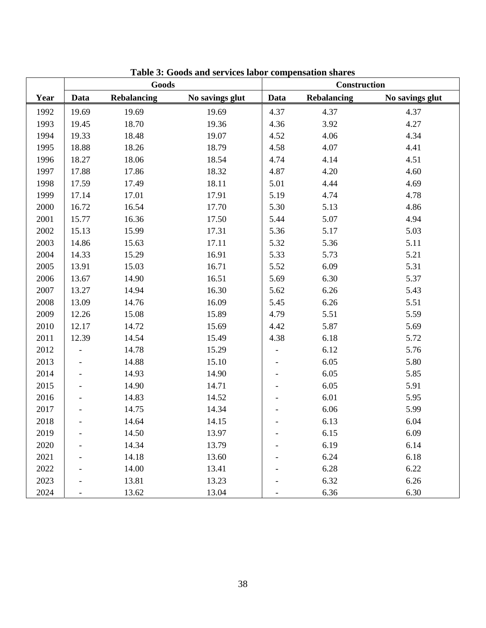|      | Goods             |             |                 |      | <b>Construction</b> |                 |  |  |
|------|-------------------|-------------|-----------------|------|---------------------|-----------------|--|--|
| Year | Data              | Rebalancing | No savings glut | Data | <b>Rebalancing</b>  | No savings glut |  |  |
| 1992 | 19.69             | 19.69       | 19.69           | 4.37 | 4.37                | 4.37            |  |  |
| 1993 | 19.45             | 18.70       | 19.36           | 4.36 | 3.92                | 4.27            |  |  |
| 1994 | 19.33             | 18.48       | 19.07           | 4.52 | 4.06                | 4.34            |  |  |
| 1995 | 18.88             | 18.26       | 18.79           | 4.58 | 4.07                | 4.41            |  |  |
| 1996 | 18.27             | 18.06       | 18.54           | 4.74 | 4.14                | 4.51            |  |  |
| 1997 | 17.88             | 17.86       | 18.32           | 4.87 | 4.20                | 4.60            |  |  |
| 1998 | 17.59             | 17.49       | 18.11           | 5.01 | 4.44                | 4.69            |  |  |
| 1999 | 17.14             | 17.01       | 17.91           | 5.19 | 4.74                | 4.78            |  |  |
| 2000 | 16.72             | 16.54       | 17.70           | 5.30 | 5.13                | 4.86            |  |  |
| 2001 | 15.77             | 16.36       | 17.50           | 5.44 | 5.07                | 4.94            |  |  |
| 2002 | 15.13             | 15.99       | 17.31           | 5.36 | 5.17                | 5.03            |  |  |
| 2003 | 14.86             | 15.63       | 17.11           | 5.32 | 5.36                | 5.11            |  |  |
| 2004 | 14.33             | 15.29       | 16.91           | 5.33 | 5.73                | 5.21            |  |  |
| 2005 | 13.91             | 15.03       | 16.71           | 5.52 | 6.09                | 5.31            |  |  |
| 2006 | 13.67             | 14.90       | 16.51           | 5.69 | 6.30                | 5.37            |  |  |
| 2007 | 13.27             | 14.94       | 16.30           | 5.62 | 6.26                | 5.43            |  |  |
| 2008 | 13.09             | 14.76       | 16.09           | 5.45 | 6.26                | 5.51            |  |  |
| 2009 | 12.26             | 15.08       | 15.89           | 4.79 | 5.51                | 5.59            |  |  |
| 2010 | 12.17             | 14.72       | 15.69           | 4.42 | 5.87                | 5.69            |  |  |
| 2011 | 12.39             | 14.54       | 15.49           | 4.38 | 6.18                | 5.72            |  |  |
| 2012 |                   | 14.78       | 15.29           |      | 6.12                | 5.76            |  |  |
| 2013 |                   | 14.88       | 15.10           |      | 6.05                | 5.80            |  |  |
| 2014 |                   | 14.93       | 14.90           |      | 6.05                | 5.85            |  |  |
| 2015 |                   | 14.90       | 14.71           |      | 6.05                | 5.91            |  |  |
| 2016 |                   | 14.83       | 14.52           |      | 6.01                | 5.95            |  |  |
| 2017 |                   | 14.75       | 14.34           |      | 6.06                | 5.99            |  |  |
| 2018 |                   | 14.64       | 14.15           |      | 6.13                | 6.04            |  |  |
| 2019 | $\qquad \qquad -$ | 14.50       | 13.97           |      | 6.15                | 6.09            |  |  |
| 2020 |                   | 14.34       | 13.79           |      | 6.19                | 6.14            |  |  |
| 2021 |                   | 14.18       | 13.60           |      | 6.24                | 6.18            |  |  |
| 2022 |                   | 14.00       | 13.41           |      | 6.28                | 6.22            |  |  |
| 2023 |                   | 13.81       | 13.23           |      | 6.32                | 6.26            |  |  |
| 2024 |                   | 13.62       | 13.04           |      | 6.36                | 6.30            |  |  |

**Table 3: Goods and services labor compensation shares**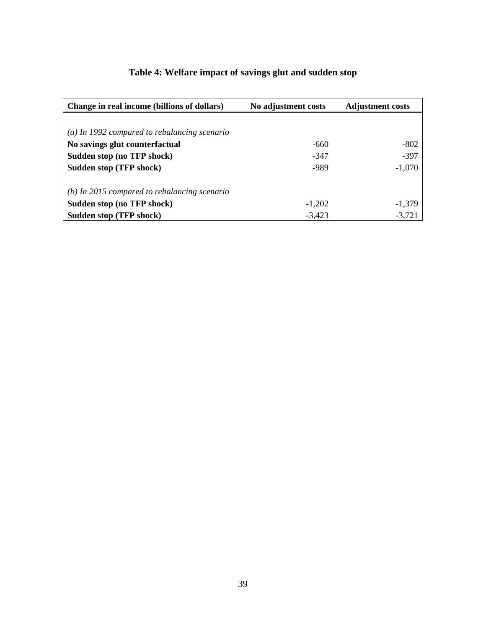| Change in real income (billions of dollars)    | No adjustment costs | <b>Adjustment costs</b> |
|------------------------------------------------|---------------------|-------------------------|
|                                                |                     |                         |
| $(a)$ In 1992 compared to rebalancing scenario |                     |                         |
| No savings glut counterfactual                 | $-660$              | $-802$                  |
| Sudden stop (no TFP shock)                     | -347                | $-397$                  |
| <b>Sudden stop (TFP shock)</b>                 | -989                | $-1,070$                |
| $(b)$ In 2015 compared to rebalancing scenario |                     |                         |
| Sudden stop (no TFP shock)                     | $-1,202$            | $-1,379$                |
| Sudden stop (TFP shock)                        | $-3,423$            | $-3,721$                |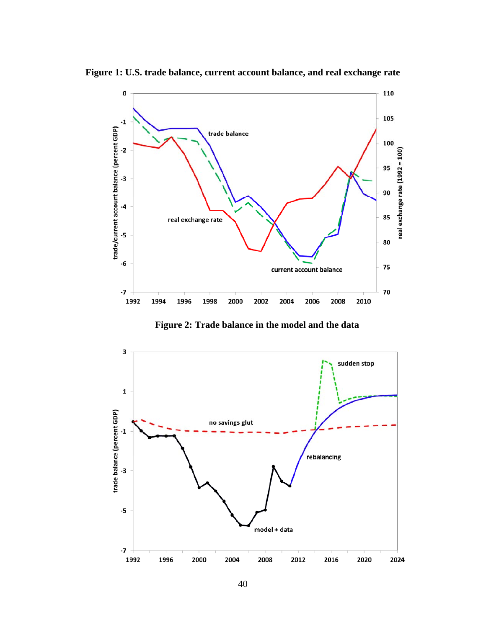

**Figure 1: U.S. trade balance, current account balance, and real exchange rate** 

**Figure 2: Trade balance in the model and the data** 

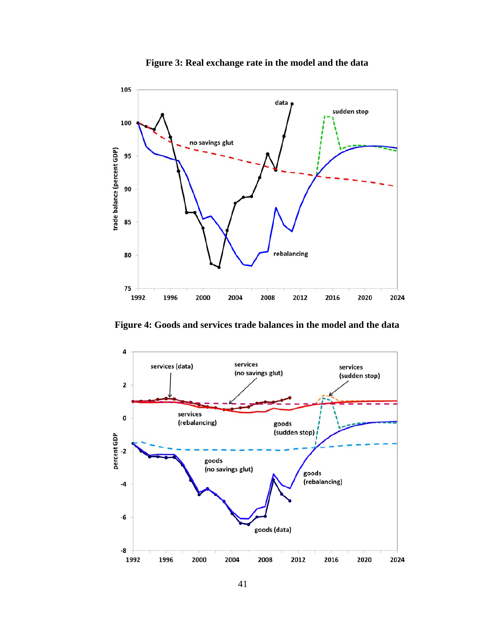

**Figure 3: Real exchange rate in the model and the data** 

**Figure 4: Goods and services trade balances in the model and the data** 

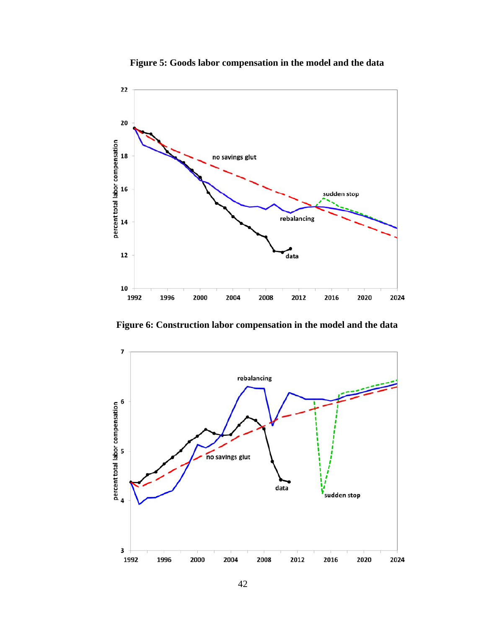

**Figure 5: Goods labor compensation in the model and the data** 

**Figure 6: Construction labor compensation in the model and the data** 

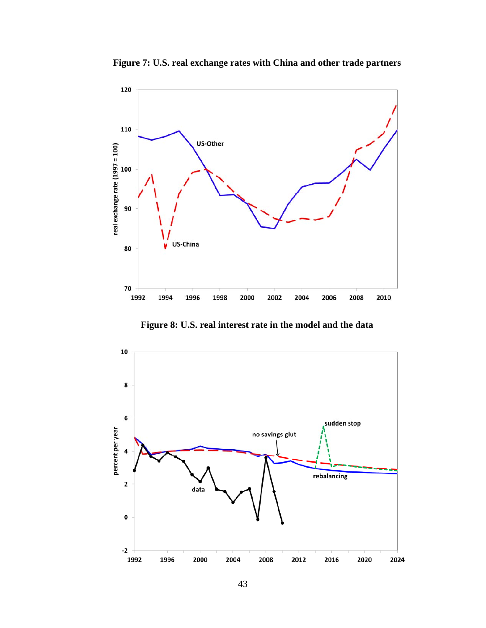

**Figure 7: U.S. real exchange rates with China and other trade partners** 

**Figure 8: U.S. real interest rate in the model and the data** 

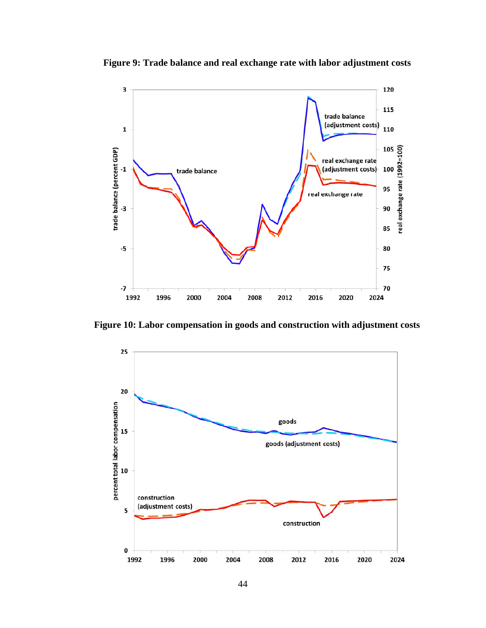

**Figure 9: Trade balance and real exchange rate with labor adjustment costs** 

**Figure 10: Labor compensation in goods and construction with adjustment costs** 

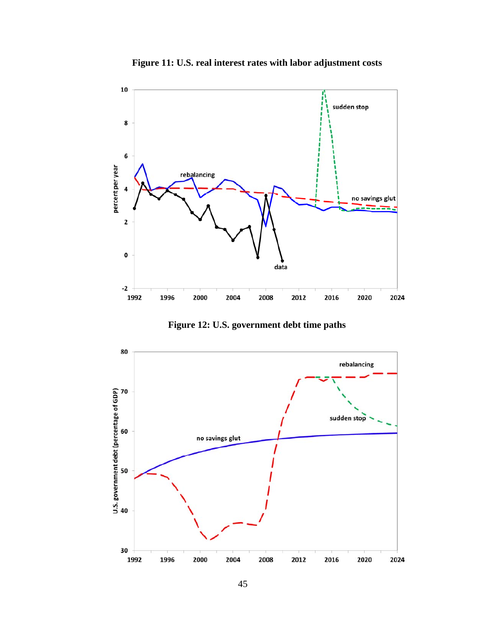

**Figure 11: U.S. real interest rates with labor adjustment costs** 

**Figure 12: U.S. government debt time paths**